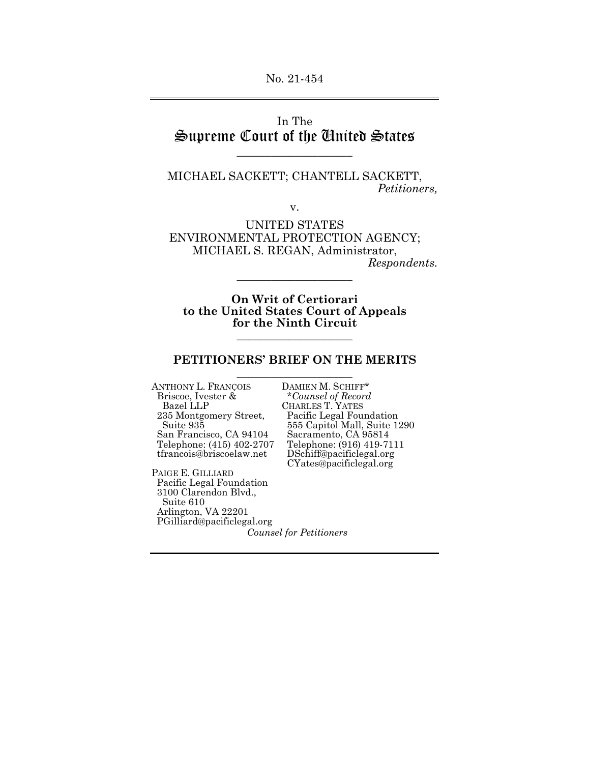# In The Supreme Court of the United States

\_\_\_\_\_\_\_\_\_\_\_\_\_\_\_\_\_\_\_\_

MICHAEL SACKETT; CHANTELL SACKETT, *Petitioners,* 

v.

UNITED STATES ENVIRONMENTAL PROTECTION AGENCY; MICHAEL S. REGAN, Administrator,

*Respondents.* 

**On Writ of Certiorari to the United States Court of Appeals for the Ninth Circuit**

\_\_\_\_\_\_\_\_\_\_\_\_\_\_\_\_\_\_\_\_

#### **PETITIONERS' BRIEF ON THE MERITS**  \_\_\_\_\_\_\_\_\_\_\_\_\_\_\_\_\_\_\_\_

\_\_\_\_\_\_\_\_\_\_\_\_\_\_\_\_\_\_\_\_

ANTHONY L. FRANÇOIS DAMIEN M. SCHIFF\* Briscoe, Ivester &<br>Bazel LLP<br>235 Montgomery Street, Telephone: (415) 402-2707<br>tfrancois@briscoelaw.net

PAIGE E. GILLIARD Pacific Legal Foundation 3100 Clarendon Blvd., Suite 610 Arlington, VA 22201 PGilliard@pacificlegal.org

 Briscoe, Ivester & \**Counsel of Record*  235 Montgomery Street, Pacific Legal Foundation 555 Capitol Mall, Suite 1290<br>Sacramento, CA 95814 San Francisco, CA 94104 Sacramento, CA 95814<br>Telephone: (415) 402-2707 Telephone: (916) 419-7111 DSchiff@pacificlegal.org CYates@pacificlegal.org

*Counsel for Petitioners*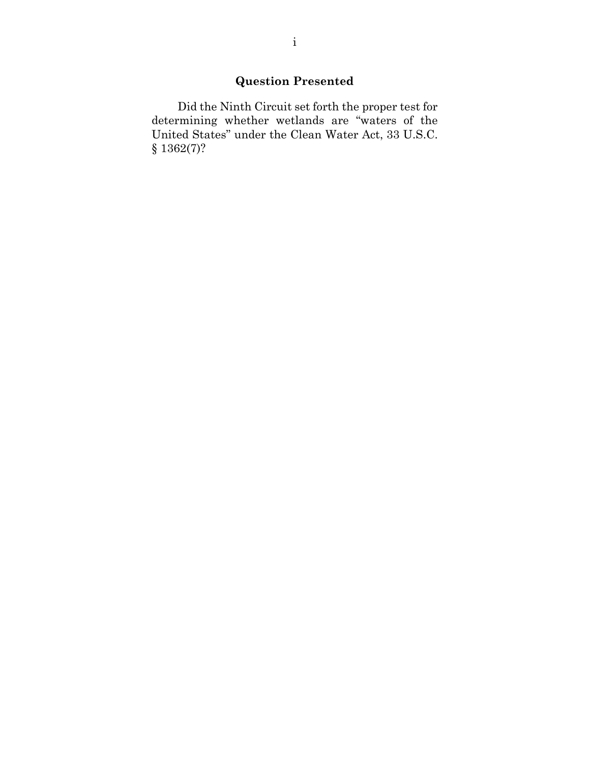# **Question Presented**

 Did the Ninth Circuit set forth the proper test for determining whether wetlands are "waters of the United States" under the Clean Water Act, 33 U.S.C. § 1362(7)?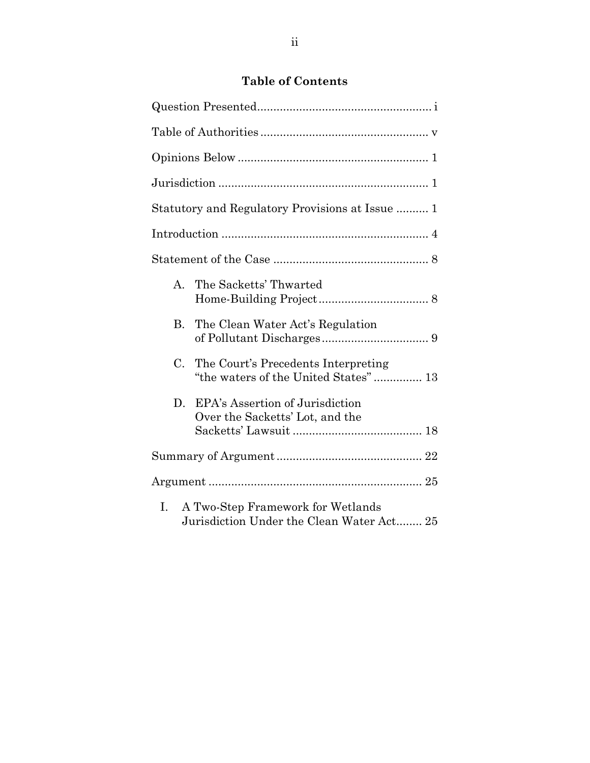# **Table of Contents**

|           | Statutory and Regulatory Provisions at Issue  1                                |
|-----------|--------------------------------------------------------------------------------|
|           |                                                                                |
|           |                                                                                |
| A.        | The Sacketts' Thwarted                                                         |
| <b>B.</b> | The Clean Water Act's Regulation                                               |
|           | C. The Court's Precedents Interpreting<br>"the waters of the United States" 13 |
| D.        | EPA's Assertion of Jurisdiction<br>Over the Sacketts' Lot, and the             |
|           |                                                                                |
|           |                                                                                |
| Ι.        | A Two-Step Framework for Wetlands<br>Jurisdiction Under the Clean Water Act 25 |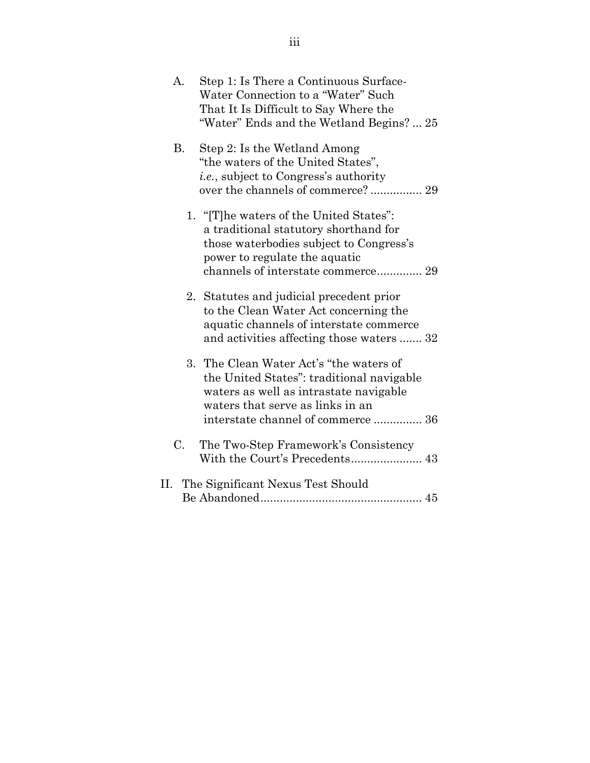| A.        | Step 1: Is There a Continuous Surface-<br>Water Connection to a "Water" Such<br>That It Is Difficult to Say Where the<br>"Water" Ends and the Wetland Begins? 25                                         |
|-----------|----------------------------------------------------------------------------------------------------------------------------------------------------------------------------------------------------------|
| <b>B.</b> | Step 2: Is the Wetland Among<br>"the waters of the United States",<br><i>i.e.</i> , subject to Congress's authority<br>over the channels of commerce? 29                                                 |
|           | 1. "The waters of the United States":<br>a traditional statutory shorthand for<br>those waterbodies subject to Congress's<br>power to regulate the aquatic<br>channels of interstate commerce 29         |
| 2.        | Statutes and judicial precedent prior<br>to the Clean Water Act concerning the<br>aquatic channels of interstate commerce<br>and activities affecting those waters  32                                   |
|           | 3. The Clean Water Act's "the waters of<br>the United States": traditional navigable<br>waters as well as intrastate navigable<br>waters that serve as links in an<br>interstate channel of commerce  36 |
| C.        | The Two-Step Framework's Consistency                                                                                                                                                                     |
|           | II. The Significant Nexus Test Should                                                                                                                                                                    |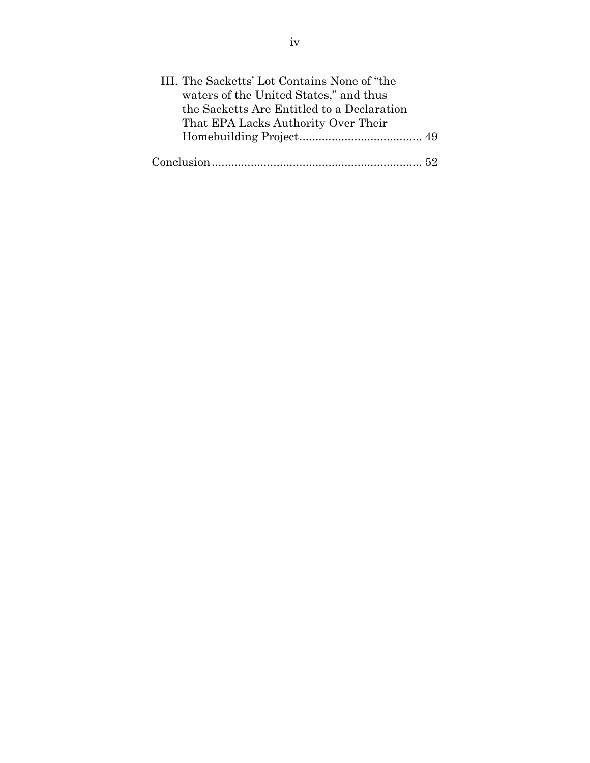| III. The Sacketts' Lot Contains None of "the |  |
|----------------------------------------------|--|
| waters of the United States," and thus       |  |
| the Sacketts Are Entitled to a Declaration   |  |
| That EPA Lacks Authority Over Their          |  |
|                                              |  |
|                                              |  |
|                                              |  |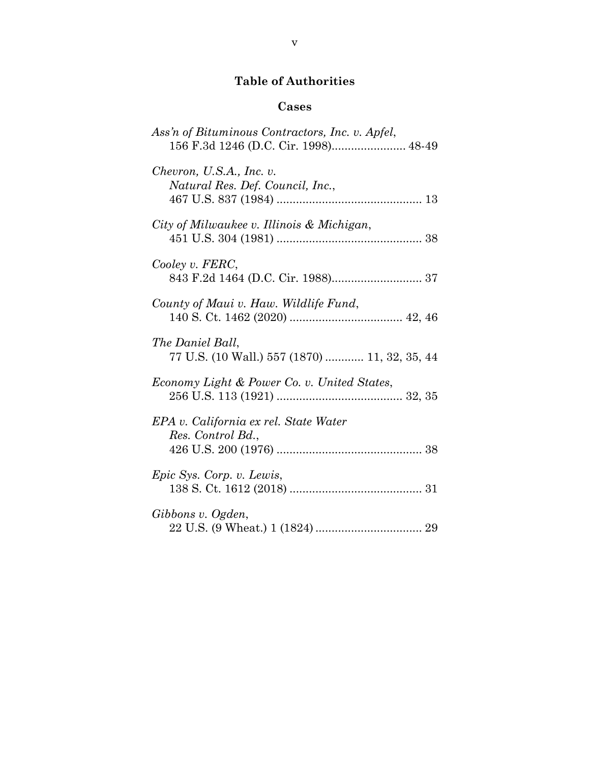# **Table of Authorities**

## **Cases**

| Ass'n of Bituminous Contractors, Inc. v. Apfel,<br>156 F.3d 1246 (D.C. Cir. 1998) 48-49 |
|-----------------------------------------------------------------------------------------|
| Chevron, U.S.A., Inc. v.<br>Natural Res. Def. Council, Inc.,                            |
| City of Milwaukee v. Illinois & Michigan,                                               |
| Cooley v. FERC,                                                                         |
| County of Maui v. Haw. Wildlife Fund,                                                   |
| The Daniel Ball,<br>77 U.S. (10 Wall.) 557 (1870)  11, 32, 35, 44                       |
| Economy Light & Power Co. v. United States,                                             |
| EPA v. California ex rel. State Water<br>Res. Control Bd.,                              |
| Epic Sys. Corp. v. Lewis,                                                               |
| Gibbons v. Ogden,                                                                       |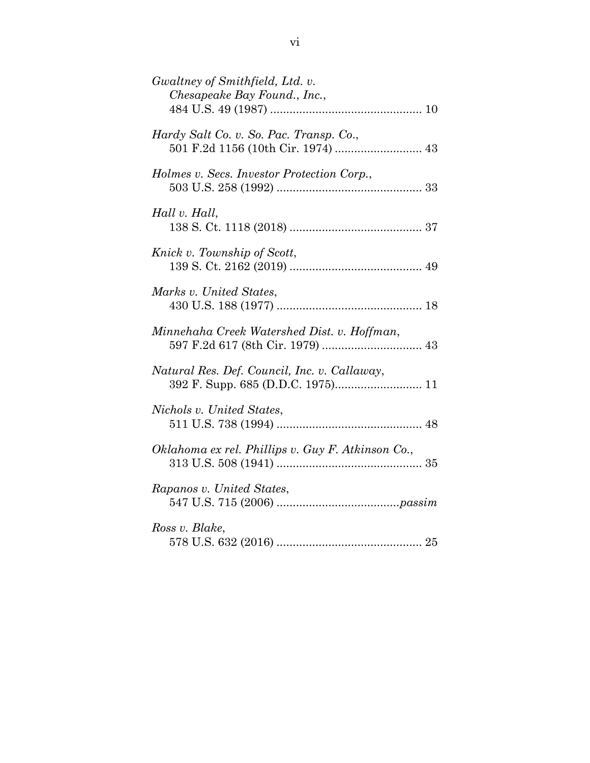| Gwaltney of Smithfield, Ltd. v.<br>Chesapeake Bay Found., Inc.,               |
|-------------------------------------------------------------------------------|
| Hardy Salt Co. v. So. Pac. Transp. Co.,<br>501 F.2d 1156 (10th Cir. 1974)  43 |
| Holmes v. Secs. Investor Protection Corp.,                                    |
| Hall v. Hall,                                                                 |
| Knick v. Township of Scott,                                                   |
| Marks v. United States,                                                       |
| Minnehaha Creek Watershed Dist. v. Hoffman,                                   |
| Natural Res. Def. Council, Inc. v. Callaway,                                  |
| Nichols v. United States,                                                     |
| Oklahoma ex rel. Phillips v. Guy F. Atkinson Co.,                             |
| Rapanos v. United States,                                                     |
| Ross v. Blake,                                                                |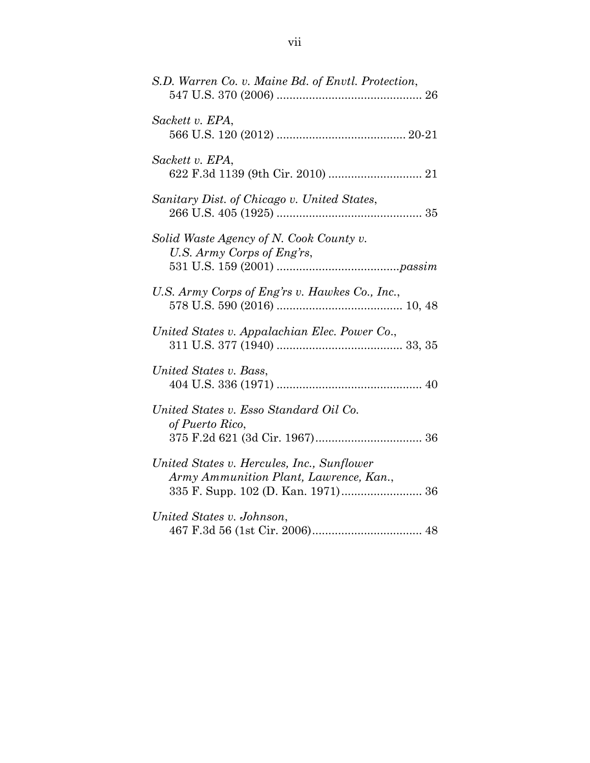| S.D. Warren Co. v. Maine Bd. of Envtl. Protection,                                   |
|--------------------------------------------------------------------------------------|
| Sackett v. EPA,                                                                      |
| Sackett v. EPA,                                                                      |
| Sanitary Dist. of Chicago v. United States,                                          |
| Solid Waste Agency of N. Cook County v.<br>U.S. Army Corps of Eng'rs,                |
| U.S. Army Corps of Eng'rs v. Hawkes Co., Inc.,                                       |
| United States v. Appalachian Elec. Power Co.,                                        |
| United States v. Bass,                                                               |
| United States v. Esso Standard Oil Co.<br>of Puerto Rico,                            |
| United States v. Hercules, Inc., Sunflower<br>Army Ammunition Plant, Lawrence, Kan., |
| United States v. Johnson,                                                            |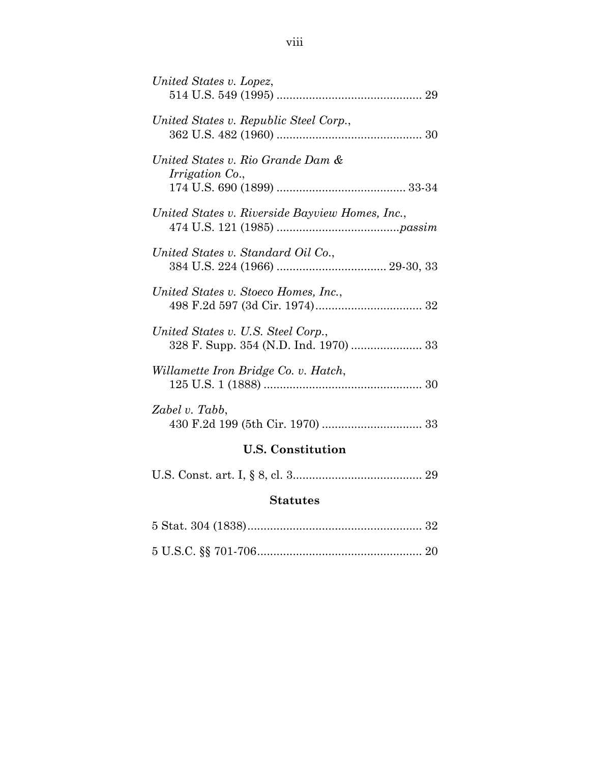| United States v. Lopez,                                     |
|-------------------------------------------------------------|
| United States v. Republic Steel Corp.,                      |
| United States v. Rio Grande Dam &<br><i>Irrigation Co.,</i> |
| United States v. Riverside Bayview Homes, Inc.,             |
| United States v. Standard Oil Co.,                          |
| United States v. Stoeco Homes, Inc.,                        |
| United States v. U.S. Steel Corp.,                          |
| Willamette Iron Bridge Co. v. Hatch,                        |
| Zabel v. Tabb,                                              |
|                                                             |

# **U.S. Constitution**

|--|--|--|--|--|--|--|--|

# **Statutes**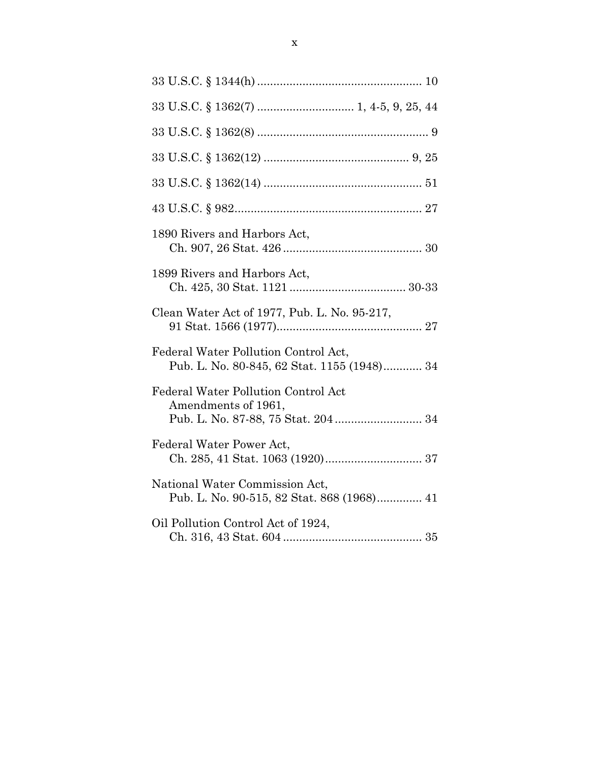| 1890 Rivers and Harbors Act,                                                        |
|-------------------------------------------------------------------------------------|
| 1899 Rivers and Harbors Act,                                                        |
| Clean Water Act of 1977, Pub. L. No. 95-217,                                        |
| Federal Water Pollution Control Act,<br>Pub. L. No. 80-845, 62 Stat. 1155 (1948) 34 |
| Federal Water Pollution Control Act<br>Amendments of 1961,                          |
| Federal Water Power Act,                                                            |
| National Water Commission Act,<br>Pub. L. No. 90-515, 82 Stat. 868 (1968) 41        |
| Oil Pollution Control Act of 1924,                                                  |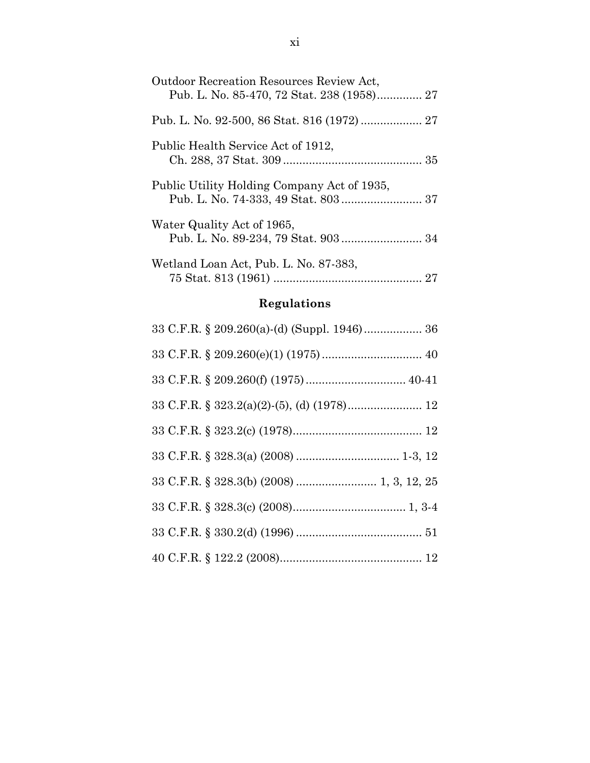| <b>Outdoor Recreation Resources Review Act.</b> |
|-------------------------------------------------|
|                                                 |
| Public Health Service Act of 1912,              |
| Public Utility Holding Company Act of 1935,     |
| Water Quality Act of 1965,                      |
| Wetland Loan Act, Pub. L. No. 87-383,           |

# **Regulations**

| 33 C.F.R. $\S$ 328.3(b) (2008)  1, 3, 12, 25 |
|----------------------------------------------|
|                                              |
|                                              |
|                                              |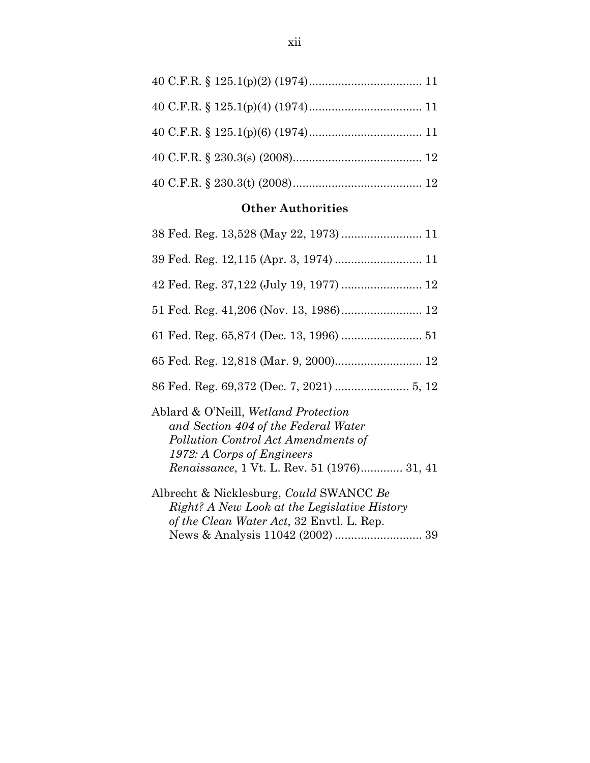## **Other Authorities**

| 38 Fed. Reg. 13,528 (May 22, 1973)  11                                                                                                                                                                   |
|----------------------------------------------------------------------------------------------------------------------------------------------------------------------------------------------------------|
| 39 Fed. Reg. 12,115 (Apr. 3, 1974)  11                                                                                                                                                                   |
| 42 Fed. Reg. 37,122 (July 19, 1977)  12                                                                                                                                                                  |
|                                                                                                                                                                                                          |
|                                                                                                                                                                                                          |
| 65 Fed. Reg. 12,818 (Mar. 9, 2000) 12                                                                                                                                                                    |
|                                                                                                                                                                                                          |
| Ablard & O'Neill, Wetland Protection<br>and Section 404 of the Federal Water<br>Pollution Control Act Amendments of<br>1972: A Corps of Engineers<br><i>Renaissance</i> , 1 Vt. L. Rev. 51 (1976) 31, 41 |
| Albrecht & Nicklesburg, Could SWANCC Be<br>Right? A New Look at the Legislative History<br>of the Clean Water Act, 32 Envtl. L. Rep.                                                                     |
|                                                                                                                                                                                                          |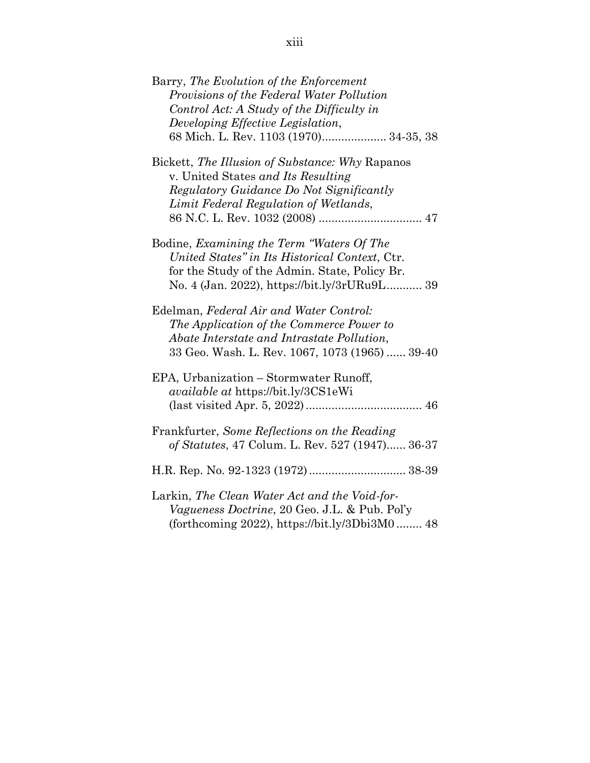| Barry, The Evolution of the Enforcement<br>Provisions of the Federal Water Pollution<br>Control Act: A Study of the Difficulty in<br>Developing Effective Legislation,<br>68 Mich. L. Rev. 1103 (1970) 34-35, 38 |
|------------------------------------------------------------------------------------------------------------------------------------------------------------------------------------------------------------------|
| Bickett, <i>The Illusion of Substance: Why Rapanos</i><br>v. United States and Its Resulting<br>Regulatory Guidance Do Not Significantly<br>Limit Federal Regulation of Wetlands,                                |
| Bodine, Examining the Term "Waters Of The<br>United States" in Its Historical Context, Ctr.<br>for the Study of the Admin. State, Policy Br.<br>No. 4 (Jan. 2022), https://bit.ly/3rURu9L 39                     |
| Edelman, Federal Air and Water Control:<br>The Application of the Commerce Power to<br>Abate Interstate and Intrastate Pollution,<br>33 Geo. Wash. L. Rev. 1067, 1073 (1965)  39-40                              |
| EPA, Urbanization - Stormwater Runoff,<br><i>available at https://bit.ly/3CS1eWi</i>                                                                                                                             |
| Frankfurter, Some Reflections on the Reading<br>of Statutes, 47 Colum. L. Rev. 527 (1947) 36-37                                                                                                                  |
|                                                                                                                                                                                                                  |
| Larkin, The Clean Water Act and the Void-for-<br>Vagueness Doctrine, 20 Geo. J.L. & Pub. Pol'y<br>(forthcoming 2022), https://bit.ly/3Dbi3M0 $48$                                                                |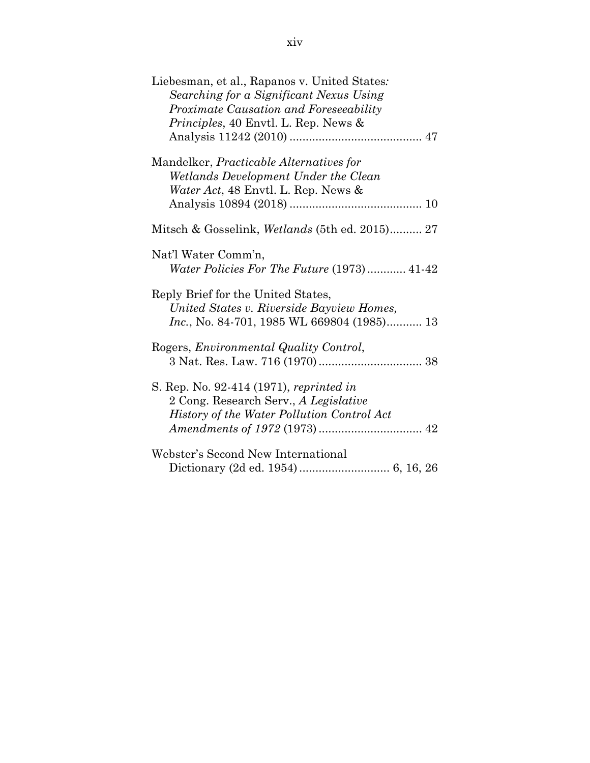| Liebesman, et al., Rapanos v. United States:<br>Searching for a Significant Nexus Using<br>Proximate Causation and Foreseeability<br><i>Principles</i> , 40 Envtl. L. Rep. News & |
|-----------------------------------------------------------------------------------------------------------------------------------------------------------------------------------|
|                                                                                                                                                                                   |
| Mandelker, <i>Practicable Alternatives</i> for<br>Wetlands Development Under the Clean                                                                                            |
| <i>Water Act</i> , 48 Envtl. L. Rep. News &                                                                                                                                       |
|                                                                                                                                                                                   |
| Mitsch & Gosselink, <i>Wetlands</i> (5th ed. 2015) 27                                                                                                                             |
| Nat'l Water Comm'n,<br>Water Policies For The Future (1973) 41-42                                                                                                                 |
| Reply Brief for the United States,<br>United States v. Riverside Bayview Homes,<br><i>Inc.</i> , No. 84-701, 1985 WL 669804 (1985) 13                                             |
| Rogers, <i>Environmental Quality Control</i> ,                                                                                                                                    |
| S. Rep. No. 92-414 (1971), reprinted in<br>2 Cong. Research Serv., A Legislative<br>History of the Water Pollution Control Act                                                    |
| Webster's Second New International                                                                                                                                                |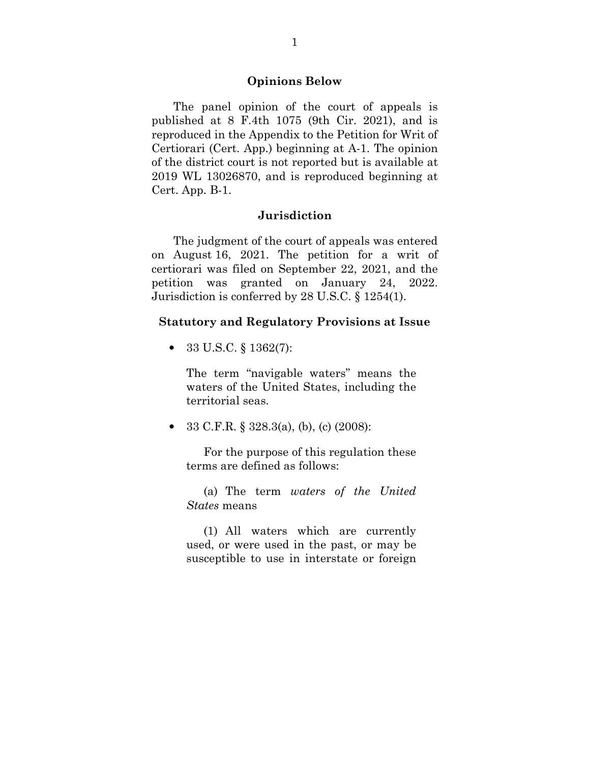#### **Opinions Below**

 The panel opinion of the court of appeals is published at 8 F.4th 1075 (9th Cir. 2021), and is reproduced in the Appendix to the Petition for Writ of Certiorari (Cert. App.) beginning at A-1. The opinion of the district court is not reported but is available at 2019 WL 13026870, and is reproduced beginning at Cert. App. B-1.

#### **Jurisdiction**

 The judgment of the court of appeals was entered on August 16, 2021. The petition for a writ of certiorari was filed on September 22, 2021, and the petition was granted on January 24, 2022. Jurisdiction is conferred by 28 U.S.C. § 1254(1).

#### **Statutory and Regulatory Provisions at Issue**

• 33 U.S.C. § 1362(7):

The term "navigable waters" means the waters of the United States, including the territorial seas.

• 33 C.F.R. § 328.3(a), (b), (c) (2008):

For the purpose of this regulation these terms are defined as follows:

(a) The term *waters of the United States* means

(1) All waters which are currently used, or were used in the past, or may be susceptible to use in interstate or foreign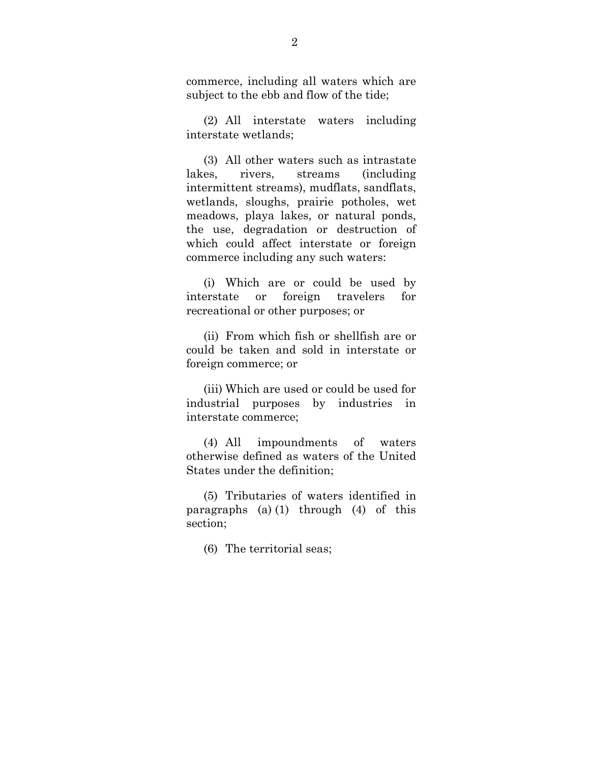commerce, including all waters which are subject to the ebb and flow of the tide;

(2) All interstate waters including interstate wetlands;

(3) All other waters such as intrastate lakes, rivers, streams (including intermittent streams), mudflats, sandflats, wetlands, sloughs, prairie potholes, wet meadows, playa lakes, or natural ponds, the use, degradation or destruction of which could affect interstate or foreign commerce including any such waters:

(i) Which are or could be used by interstate or foreign travelers for recreational or other purposes; or

(ii) From which fish or shellfish are or could be taken and sold in interstate or foreign commerce; or

(iii) Which are used or could be used for industrial purposes by industries in interstate commerce;

(4) All impoundments of waters otherwise defined as waters of the United States under the definition;

(5) Tributaries of waters identified in paragraphs (a) (1) through (4) of this section;

(6) The territorial seas;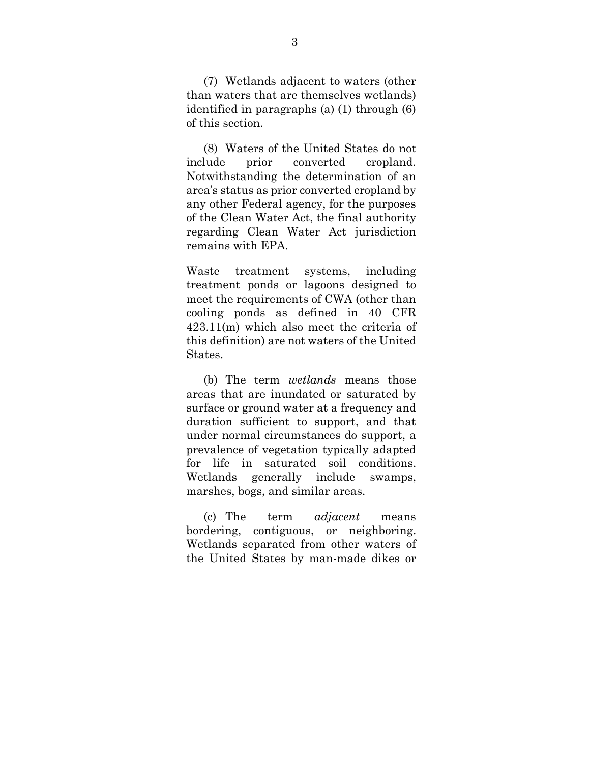(7) Wetlands adjacent to waters (other than waters that are themselves wetlands) identified in paragraphs (a) (1) through (6) of this section.

(8) Waters of the United States do not include prior converted cropland. Notwithstanding the determination of an area's status as prior converted cropland by any other Federal agency, for the purposes of the Clean Water Act, the final authority regarding Clean Water Act jurisdiction remains with EPA.

Waste treatment systems, including treatment ponds or lagoons designed to meet the requirements of CWA (other than cooling ponds as defined in 40 CFR 423.11(m) which also meet the criteria of this definition) are not waters of the United States.

(b) The term *wetlands* means those areas that are inundated or saturated by surface or ground water at a frequency and duration sufficient to support, and that under normal circumstances do support, a prevalence of vegetation typically adapted for life in saturated soil conditions. Wetlands generally include swamps, marshes, bogs, and similar areas.

(c) The term *adjacent* means bordering, contiguous, or neighboring. Wetlands separated from other waters of the United States by man-made dikes or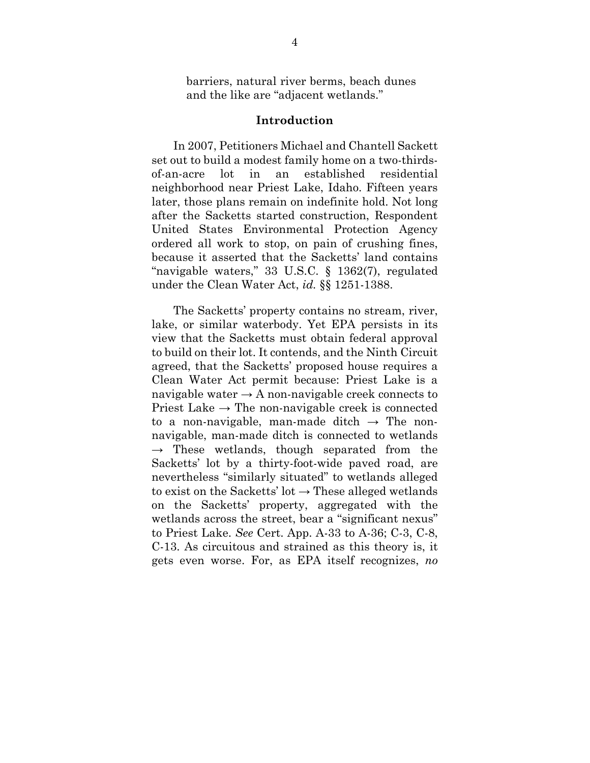barriers, natural river berms, beach dunes and the like are "adjacent wetlands."

#### **Introduction**

 In 2007, Petitioners Michael and Chantell Sackett set out to build a modest family home on a two-thirdsof-an-acre lot in an established residential neighborhood near Priest Lake, Idaho. Fifteen years later, those plans remain on indefinite hold. Not long after the Sacketts started construction, Respondent United States Environmental Protection Agency ordered all work to stop, on pain of crushing fines, because it asserted that the Sacketts' land contains "navigable waters," 33 U.S.C. § 1362(7), regulated under the Clean Water Act, *id.* §§ 1251-1388.

 The Sacketts' property contains no stream, river, lake, or similar waterbody. Yet EPA persists in its view that the Sacketts must obtain federal approval to build on their lot. It contends, and the Ninth Circuit agreed, that the Sacketts' proposed house requires a Clean Water Act permit because: Priest Lake is a navigable water  $\rightarrow$  A non-navigable creek connects to Priest Lake  $\rightarrow$  The non-navigable creek is connected to a non-navigable, man-made ditch  $\rightarrow$  The nonnavigable, man-made ditch is connected to wetlands  $\rightarrow$  These wetlands, though separated from the Sacketts' lot by a thirty-foot-wide paved road, are nevertheless "similarly situated" to wetlands alleged to exist on the Sacketts' lot  $\rightarrow$  These alleged wetlands on the Sacketts' property, aggregated with the wetlands across the street, bear a "significant nexus" to Priest Lake. *See* Cert. App. A-33 to A-36; C-3, C-8, C-13. As circuitous and strained as this theory is, it gets even worse. For, as EPA itself recognizes, *no*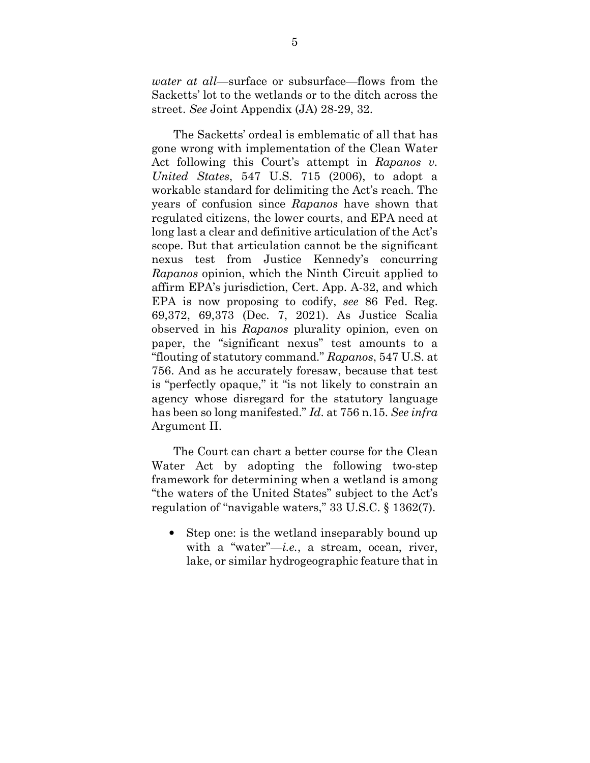*water at all*—surface or subsurface—flows from the Sacketts' lot to the wetlands or to the ditch across the street. *See* Joint Appendix (JA) 28-29, 32.

 The Sacketts' ordeal is emblematic of all that has gone wrong with implementation of the Clean Water Act following this Court's attempt in *Rapanos v. United States*, 547 U.S. 715 (2006), to adopt a workable standard for delimiting the Act's reach. The years of confusion since *Rapanos* have shown that regulated citizens, the lower courts, and EPA need at long last a clear and definitive articulation of the Act's scope. But that articulation cannot be the significant nexus test from Justice Kennedy's concurring *Rapanos* opinion, which the Ninth Circuit applied to affirm EPA's jurisdiction, Cert. App. A-32, and which EPA is now proposing to codify, *see* 86 Fed. Reg. 69,372, 69,373 (Dec. 7, 2021). As Justice Scalia observed in his *Rapanos* plurality opinion, even on paper, the "significant nexus" test amounts to a "flouting of statutory command." *Rapanos*, 547 U.S. at 756. And as he accurately foresaw, because that test is "perfectly opaque," it "is not likely to constrain an agency whose disregard for the statutory language has been so long manifested." *Id*. at 756 n.15. *See infra* Argument II.

 The Court can chart a better course for the Clean Water Act by adopting the following two-step framework for determining when a wetland is among "the waters of the United States" subject to the Act's regulation of "navigable waters," 33 U.S.C. § 1362(7).

• Step one: is the wetland inseparably bound up with a "water"—*i.e.*, a stream, ocean, river, lake, or similar hydrogeographic feature that in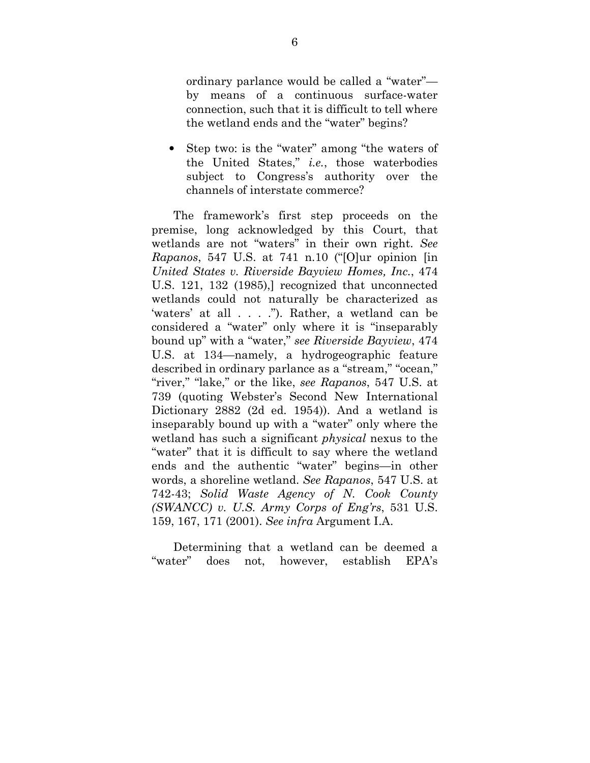ordinary parlance would be called a "water" by means of a continuous surface-water connection, such that it is difficult to tell where the wetland ends and the "water" begins?

• Step two: is the "water" among "the waters of the United States," *i.e.*, those waterbodies subject to Congress's authority over the channels of interstate commerce?

 The framework's first step proceeds on the premise, long acknowledged by this Court, that wetlands are not "waters" in their own right. *See Rapanos*, 547 U.S. at 741 n.10 ("[O]ur opinion [in *United States v. Riverside Bayview Homes, Inc.*, 474 U.S. 121, 132 (1985),] recognized that unconnected wetlands could not naturally be characterized as 'waters' at all . . . ."). Rather, a wetland can be considered a "water" only where it is "inseparably bound up" with a "water," *see Riverside Bayview*, 474 U.S. at 134—namely, a hydrogeographic feature described in ordinary parlance as a "stream," "ocean," "river," "lake," or the like, *see Rapanos*, 547 U.S. at 739 (quoting Webster's Second New International Dictionary 2882 (2d ed. 1954)). And a wetland is inseparably bound up with a "water" only where the wetland has such a significant *physical* nexus to the "water" that it is difficult to say where the wetland ends and the authentic "water" begins—in other words, a shoreline wetland. *See Rapanos*, 547 U.S. at 742-43; *Solid Waste Agency of N. Cook County (SWANCC) v. U.S. Army Corps of Eng'rs*, 531 U.S. 159, 167, 171 (2001). *See infra* Argument I.A.

 Determining that a wetland can be deemed a "water" does not, however, establish EPA's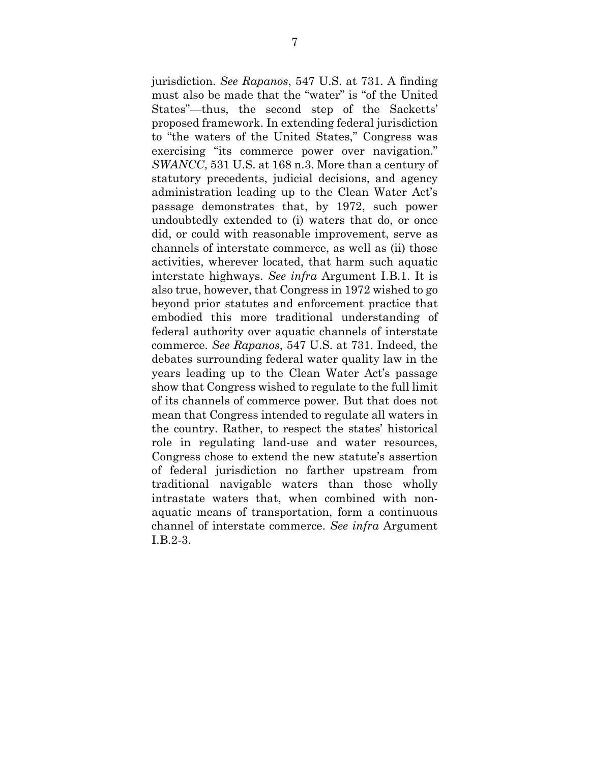jurisdiction. *See Rapanos*, 547 U.S. at 731. A finding must also be made that the "water" is "of the United States"—thus, the second step of the Sacketts' proposed framework. In extending federal jurisdiction to "the waters of the United States," Congress was exercising "its commerce power over navigation." *SWANCC*, 531 U.S. at 168 n.3. More than a century of statutory precedents, judicial decisions, and agency administration leading up to the Clean Water Act's passage demonstrates that, by 1972, such power undoubtedly extended to (i) waters that do, or once did, or could with reasonable improvement, serve as channels of interstate commerce, as well as (ii) those activities, wherever located, that harm such aquatic interstate highways. *See infra* Argument I.B.1. It is also true, however, that Congress in 1972 wished to go beyond prior statutes and enforcement practice that embodied this more traditional understanding of federal authority over aquatic channels of interstate commerce. *See Rapanos*, 547 U.S. at 731. Indeed, the debates surrounding federal water quality law in the years leading up to the Clean Water Act's passage show that Congress wished to regulate to the full limit of its channels of commerce power. But that does not mean that Congress intended to regulate all waters in the country. Rather, to respect the states' historical role in regulating land-use and water resources, Congress chose to extend the new statute's assertion of federal jurisdiction no farther upstream from traditional navigable waters than those wholly intrastate waters that, when combined with nonaquatic means of transportation, form a continuous channel of interstate commerce. *See infra* Argument I.B.2-3.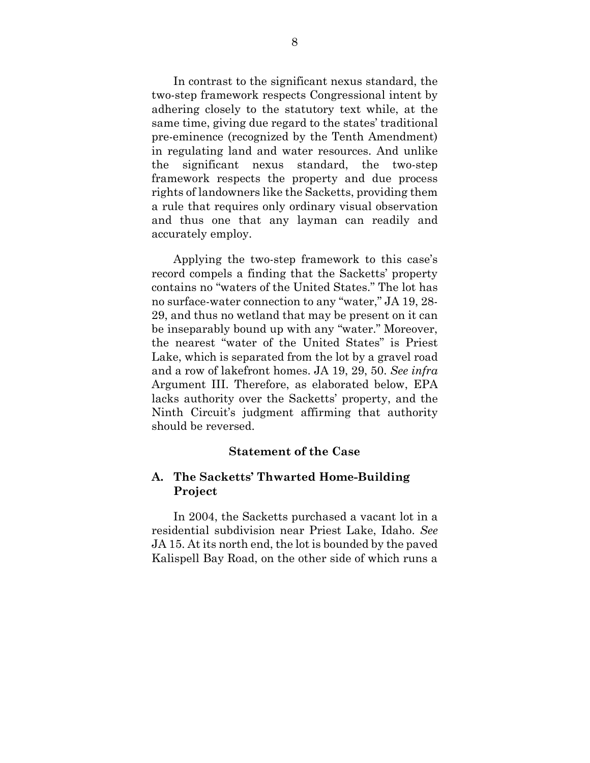In contrast to the significant nexus standard, the two-step framework respects Congressional intent by adhering closely to the statutory text while, at the same time, giving due regard to the states' traditional pre-eminence (recognized by the Tenth Amendment) in regulating land and water resources. And unlike the significant nexus standard, the two-step framework respects the property and due process rights of landowners like the Sacketts, providing them a rule that requires only ordinary visual observation and thus one that any layman can readily and accurately employ.

 Applying the two-step framework to this case's record compels a finding that the Sacketts' property contains no "waters of the United States." The lot has no surface-water connection to any "water," JA 19, 28- 29, and thus no wetland that may be present on it can be inseparably bound up with any "water." Moreover, the nearest "water of the United States" is Priest Lake, which is separated from the lot by a gravel road and a row of lakefront homes. JA 19, 29, 50. *See infra*  Argument III. Therefore, as elaborated below, EPA lacks authority over the Sacketts' property, and the Ninth Circuit's judgment affirming that authority should be reversed.

### **Statement of the Case**

## **A. The Sacketts' Thwarted Home-Building Project**

 In 2004, the Sacketts purchased a vacant lot in a residential subdivision near Priest Lake, Idaho. *See* JA 15. At its north end, the lot is bounded by the paved Kalispell Bay Road, on the other side of which runs a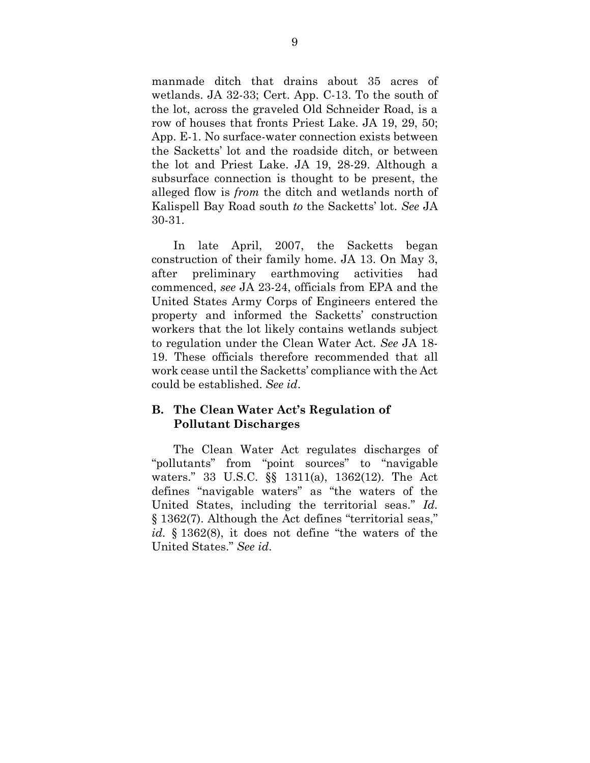manmade ditch that drains about 35 acres of wetlands. JA 32-33; Cert. App. C-13. To the south of the lot, across the graveled Old Schneider Road, is a row of houses that fronts Priest Lake. JA 19, 29, 50; App. E-1. No surface-water connection exists between the Sacketts' lot and the roadside ditch, or between the lot and Priest Lake. JA 19, 28-29. Although a subsurface connection is thought to be present, the alleged flow is *from* the ditch and wetlands north of Kalispell Bay Road south *to* the Sacketts' lot. *See* JA 30-31.

 In late April, 2007, the Sacketts began construction of their family home. JA 13. On May 3, after preliminary earthmoving activities had commenced, *see* JA 23-24, officials from EPA and the United States Army Corps of Engineers entered the property and informed the Sacketts' construction workers that the lot likely contains wetlands subject to regulation under the Clean Water Act. *See* JA 18- 19. These officials therefore recommended that all work cease until the Sacketts' compliance with the Act could be established. *See id*.

## **B. The Clean Water Act's Regulation of Pollutant Discharges**

 The Clean Water Act regulates discharges of "pollutants" from "point sources" to "navigable waters." 33 U.S.C. §§ 1311(a), 1362(12). The Act defines "navigable waters" as "the waters of the United States, including the territorial seas." *Id.*  § 1362(7). Although the Act defines "territorial seas," *id.* § 1362(8), it does not define "the waters of the United States." *See id*.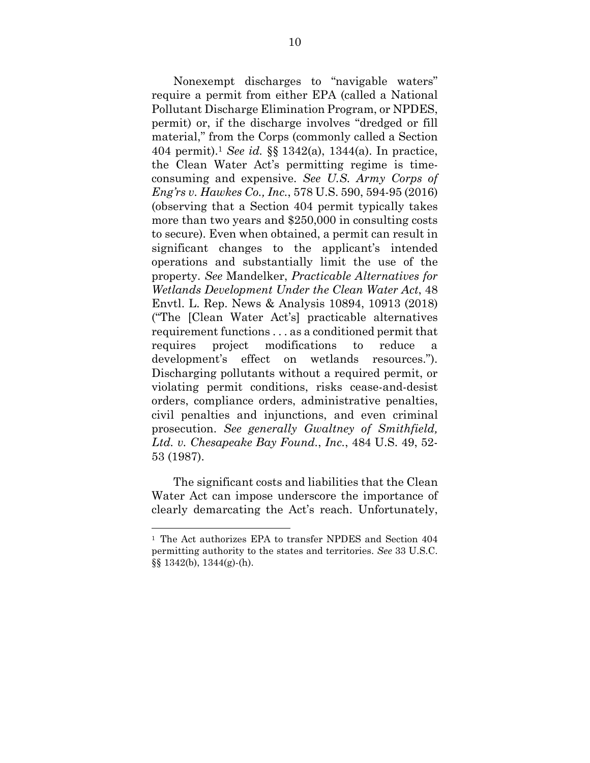Nonexempt discharges to "navigable waters" require a permit from either EPA (called a National Pollutant Discharge Elimination Program, or NPDES, permit) or, if the discharge involves "dredged or fill material," from the Corps (commonly called a Section 404 permit).<sup>1</sup> *See id.* §§ 1342(a), 1344(a). In practice, the Clean Water Act's permitting regime is timeconsuming and expensive. *See U.S. Army Corps of Eng'rs v. Hawkes Co., Inc.*, 578 U.S. 590, 594-95 (2016) (observing that a Section 404 permit typically takes more than two years and \$250,000 in consulting costs to secure). Even when obtained, a permit can result in significant changes to the applicant's intended operations and substantially limit the use of the property. *See* Mandelker, *Practicable Alternatives for Wetlands Development Under the Clean Water Act*, 48 Envtl. L. Rep. News & Analysis 10894, 10913 (2018) ("The [Clean Water Act's] practicable alternatives requirement functions . . . as a conditioned permit that requires project modifications to reduce a development's effect on wetlands resources."). Discharging pollutants without a required permit, or violating permit conditions, risks cease-and-desist orders, compliance orders, administrative penalties, civil penalties and injunctions, and even criminal prosecution. *See generally Gwaltney of Smithfield, Ltd. v. Chesapeake Bay Found.*, *Inc.*, 484 U.S. 49, 52- 53 (1987).

 The significant costs and liabilities that the Clean Water Act can impose underscore the importance of clearly demarcating the Act's reach. Unfortunately,

<sup>1</sup> The Act authorizes EPA to transfer NPDES and Section 404 permitting authority to the states and territories. *See* 33 U.S.C. §§ 1342(b), 1344(g)-(h).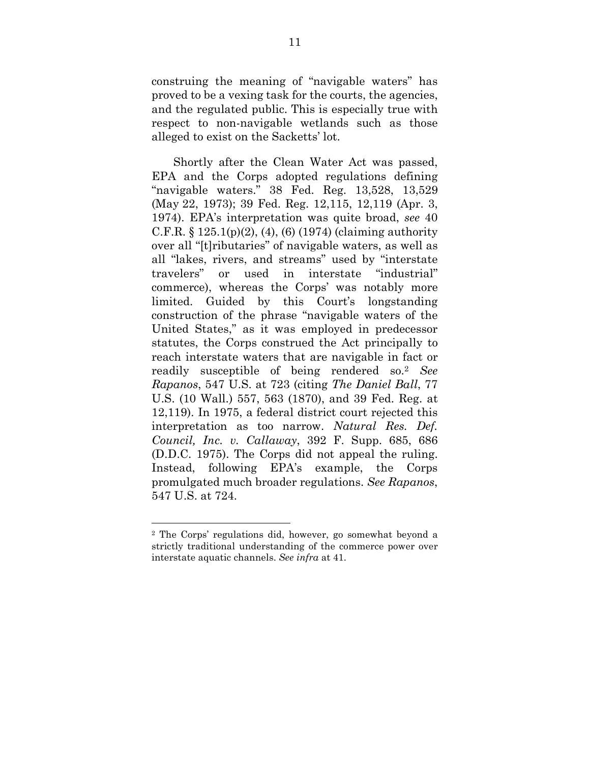construing the meaning of "navigable waters" has proved to be a vexing task for the courts, the agencies, and the regulated public. This is especially true with respect to non-navigable wetlands such as those alleged to exist on the Sacketts' lot.

 Shortly after the Clean Water Act was passed, EPA and the Corps adopted regulations defining "navigable waters." 38 Fed. Reg. 13,528, 13,529 (May 22, 1973); 39 Fed. Reg. 12,115, 12,119 (Apr. 3, 1974). EPA's interpretation was quite broad, *see* 40 C.F.R.  $\S 125.1(p)(2)$ , (4), (6) (1974) (claiming authority over all "[t]ributaries" of navigable waters, as well as all "lakes, rivers, and streams" used by "interstate travelers" or used in interstate "industrial" commerce), whereas the Corps' was notably more limited. Guided by this Court's longstanding construction of the phrase "navigable waters of the United States," as it was employed in predecessor statutes, the Corps construed the Act principally to reach interstate waters that are navigable in fact or readily susceptible of being rendered so.<sup>2</sup> *See Rapanos*, 547 U.S. at 723 (citing *The Daniel Ball*, 77 U.S. (10 Wall.) 557, 563 (1870), and 39 Fed. Reg. at 12,119). In 1975, a federal district court rejected this interpretation as too narrow. *Natural Res. Def. Council, Inc. v. Callaway*, 392 F. Supp. 685, 686 (D.D.C. 1975). The Corps did not appeal the ruling. Instead, following EPA's example, the Corps promulgated much broader regulations. *See Rapanos*, 547 U.S. at 724.

<sup>2</sup> The Corps' regulations did, however, go somewhat beyond a strictly traditional understanding of the commerce power over interstate aquatic channels. *See infra* at 41.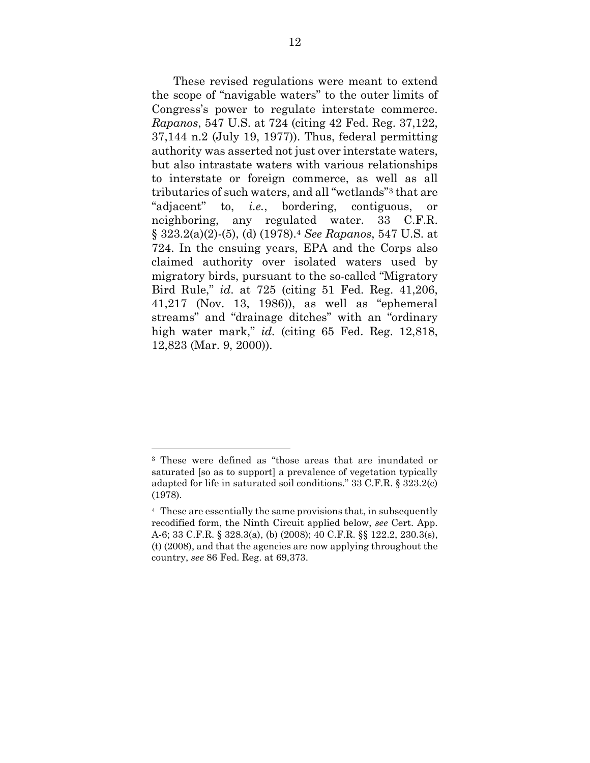These revised regulations were meant to extend the scope of "navigable waters" to the outer limits of Congress's power to regulate interstate commerce. *Rapanos*, 547 U.S. at 724 (citing 42 Fed. Reg. 37,122, 37,144 n.2 (July 19, 1977)). Thus, federal permitting authority was asserted not just over interstate waters, but also intrastate waters with various relationships to interstate or foreign commerce, as well as all tributaries of such waters, and all "wetlands"3 that are "adjacent" to, *i.e.*, bordering, contiguous, or neighboring, any regulated water. 33 C.F.R. § 323.2(a)(2)-(5), (d) (1978).<sup>4</sup> *See Rapanos*, 547 U.S. at 724. In the ensuing years, EPA and the Corps also claimed authority over isolated waters used by migratory birds, pursuant to the so-called "Migratory Bird Rule," *id*. at 725 (citing 51 Fed. Reg. 41,206, 41,217 (Nov. 13, 1986)), as well as "ephemeral streams" and "drainage ditches" with an "ordinary high water mark," *id.* (citing 65 Fed. Reg. 12,818, 12,823 (Mar. 9, 2000)).

<sup>3</sup> These were defined as "those areas that are inundated or saturated [so as to support] a prevalence of vegetation typically adapted for life in saturated soil conditions." 33 C.F.R. § 323.2(c) (1978).

<sup>4</sup> These are essentially the same provisions that, in subsequently recodified form, the Ninth Circuit applied below, *see* Cert. App. A-6; 33 C.F.R. § 328.3(a), (b) (2008); 40 C.F.R. §§ 122.2, 230.3(s), (t) (2008), and that the agencies are now applying throughout the country, *see* 86 Fed. Reg. at 69,373.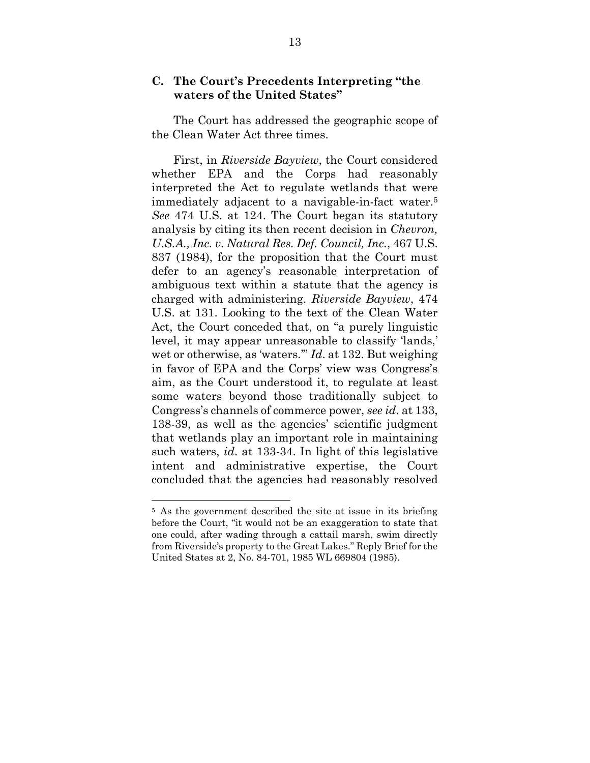### **C. The Court's Precedents Interpreting "the waters of the United States"**

 The Court has addressed the geographic scope of the Clean Water Act three times.

 First, in *Riverside Bayview*, the Court considered whether EPA and the Corps had reasonably interpreted the Act to regulate wetlands that were immediately adjacent to a navigable-in-fact water.<sup>5</sup> *See* 474 U.S. at 124. The Court began its statutory analysis by citing its then recent decision in *Chevron, U.S.A., Inc. v. Natural Res. Def. Council, Inc.*, 467 U.S. 837 (1984), for the proposition that the Court must defer to an agency's reasonable interpretation of ambiguous text within a statute that the agency is charged with administering. *Riverside Bayview*, 474 U.S. at 131. Looking to the text of the Clean Water Act, the Court conceded that, on "a purely linguistic level, it may appear unreasonable to classify 'lands,' wet or otherwise, as 'waters.'" *Id*. at 132. But weighing in favor of EPA and the Corps' view was Congress's aim, as the Court understood it, to regulate at least some waters beyond those traditionally subject to Congress's channels of commerce power, *see id*. at 133, 138-39, as well as the agencies' scientific judgment that wetlands play an important role in maintaining such waters, *id*. at 133-34. In light of this legislative intent and administrative expertise, the Court concluded that the agencies had reasonably resolved

<sup>&</sup>lt;sup>5</sup> As the government described the site at issue in its briefing before the Court, "it would not be an exaggeration to state that one could, after wading through a cattail marsh, swim directly from Riverside's property to the Great Lakes." Reply Brief for the United States at 2, No. 84-701, 1985 WL 669804 (1985).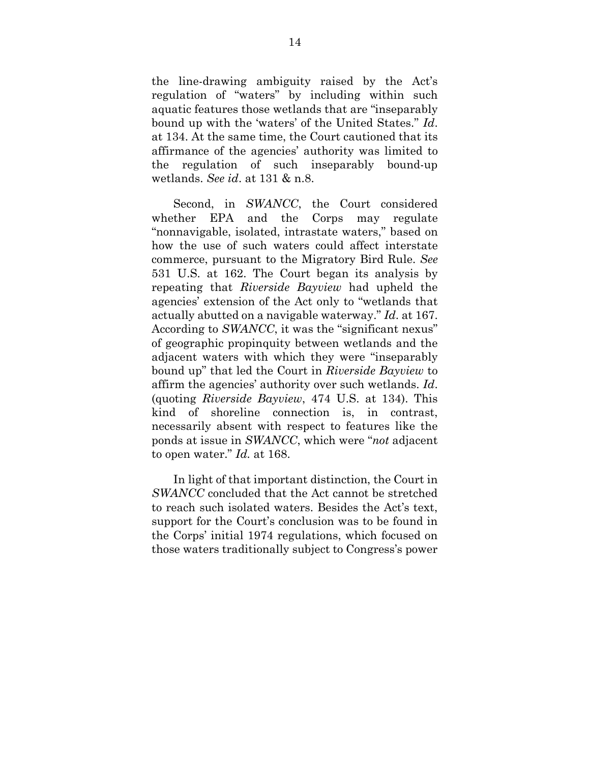the line-drawing ambiguity raised by the Act's regulation of "waters" by including within such aquatic features those wetlands that are "inseparably bound up with the 'waters' of the United States." *Id*. at 134. At the same time, the Court cautioned that its affirmance of the agencies' authority was limited to the regulation of such inseparably bound-up wetlands. *See id*. at 131 & n.8.

 Second, in *SWANCC*, the Court considered whether EPA and the Corps may regulate "nonnavigable, isolated, intrastate waters," based on how the use of such waters could affect interstate commerce, pursuant to the Migratory Bird Rule. *See*  531 U.S. at 162. The Court began its analysis by repeating that *Riverside Bayview* had upheld the agencies' extension of the Act only to "wetlands that actually abutted on a navigable waterway." *Id*. at 167. According to *SWANCC*, it was the "significant nexus" of geographic propinquity between wetlands and the adjacent waters with which they were "inseparably bound up" that led the Court in *Riverside Bayview* to affirm the agencies' authority over such wetlands. *Id*. (quoting *Riverside Bayview*, 474 U.S. at 134). This kind of shoreline connection is, in contrast, necessarily absent with respect to features like the ponds at issue in *SWANCC*, which were "*not* adjacent to open water." *Id.* at 168.

 In light of that important distinction, the Court in *SWANCC* concluded that the Act cannot be stretched to reach such isolated waters. Besides the Act's text, support for the Court's conclusion was to be found in the Corps' initial 1974 regulations, which focused on those waters traditionally subject to Congress's power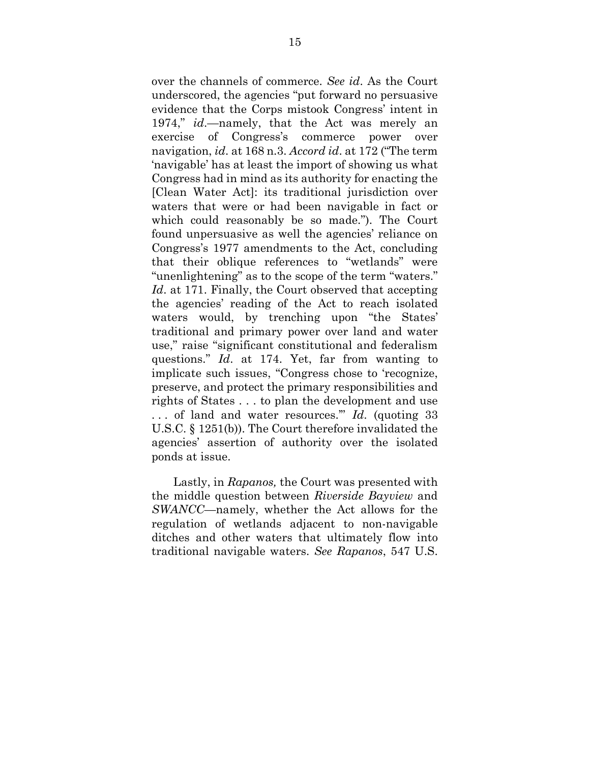over the channels of commerce. *See id*. As the Court underscored, the agencies "put forward no persuasive evidence that the Corps mistook Congress' intent in 1974," *id*.—namely, that the Act was merely an exercise of Congress's commerce power over navigation, *id*. at 168 n.3. *Accord id*. at 172 ("The term 'navigable' has at least the import of showing us what Congress had in mind as its authority for enacting the [Clean Water Act]: its traditional jurisdiction over waters that were or had been navigable in fact or which could reasonably be so made."). The Court found unpersuasive as well the agencies' reliance on Congress's 1977 amendments to the Act, concluding that their oblique references to "wetlands" were "unenlightening" as to the scope of the term "waters." Id. at 171. Finally, the Court observed that accepting the agencies' reading of the Act to reach isolated waters would, by trenching upon "the States' traditional and primary power over land and water use," raise "significant constitutional and federalism questions." *Id*. at 174. Yet, far from wanting to implicate such issues, "Congress chose to 'recognize, preserve, and protect the primary responsibilities and rights of States . . . to plan the development and use . . . of land and water resources.'" *Id*. (quoting 33 U.S.C. § 1251(b)). The Court therefore invalidated the agencies' assertion of authority over the isolated ponds at issue.

 Lastly, in *Rapanos,* the Court was presented with the middle question between *Riverside Bayview* and *SWANCC*—namely, whether the Act allows for the regulation of wetlands adjacent to non-navigable ditches and other waters that ultimately flow into traditional navigable waters. *See Rapanos*, 547 U.S.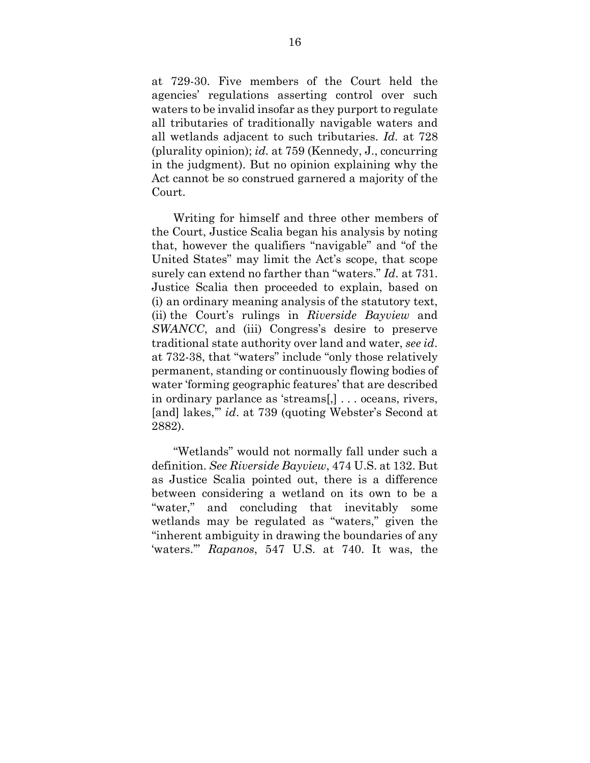at 729-30. Five members of the Court held the agencies' regulations asserting control over such waters to be invalid insofar as they purport to regulate all tributaries of traditionally navigable waters and all wetlands adjacent to such tributaries. *Id.* at 728 (plurality opinion); *id.* at 759 (Kennedy, J., concurring in the judgment). But no opinion explaining why the Act cannot be so construed garnered a majority of the Court.

 Writing for himself and three other members of the Court, Justice Scalia began his analysis by noting that, however the qualifiers "navigable" and "of the United States" may limit the Act's scope, that scope surely can extend no farther than "waters." *Id*. at 731. Justice Scalia then proceeded to explain, based on (i) an ordinary meaning analysis of the statutory text, (ii) the Court's rulings in *Riverside Bayview* and *SWANCC*, and (iii) Congress's desire to preserve traditional state authority over land and water, *see id*. at 732-38, that "waters" include "only those relatively permanent, standing or continuously flowing bodies of water 'forming geographic features' that are described in ordinary parlance as 'streams[,] . . . oceans, rivers, [and] lakes,'" *id*. at 739 (quoting Webster's Second at 2882).

 "Wetlands" would not normally fall under such a definition. *See Riverside Bayview*, 474 U.S. at 132. But as Justice Scalia pointed out, there is a difference between considering a wetland on its own to be a "water," and concluding that inevitably some wetlands may be regulated as "waters," given the "inherent ambiguity in drawing the boundaries of any 'waters.'" *Rapanos*, 547 U.S. at 740. It was, the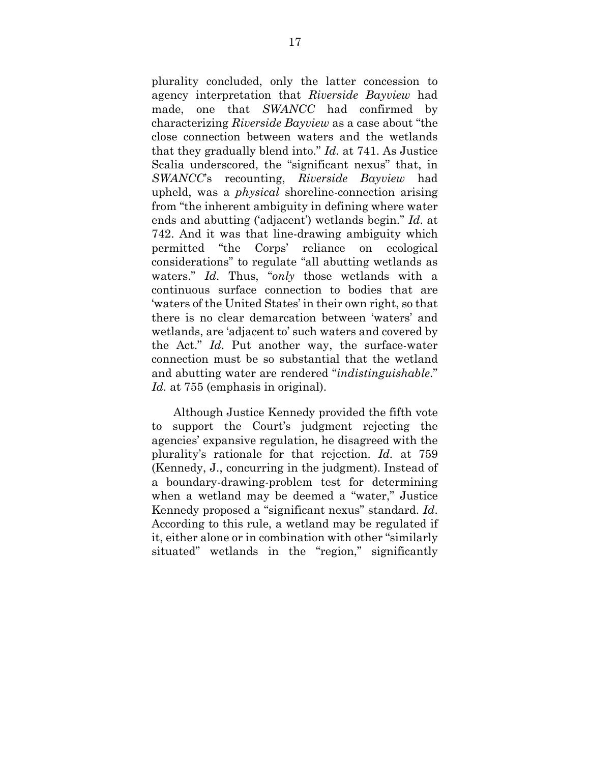plurality concluded, only the latter concession to agency interpretation that *Riverside Bayview* had made, one that *SWANCC* had confirmed by characterizing *Riverside Bayview* as a case about "the close connection between waters and the wetlands that they gradually blend into." *Id*. at 741. As Justice Scalia underscored, the "significant nexus" that, in *SWANCC*'s recounting, *Riverside Bayview* had upheld, was a *physical* shoreline-connection arising from "the inherent ambiguity in defining where water ends and abutting ('adjacent') wetlands begin." *Id*. at 742. And it was that line-drawing ambiguity which permitted "the Corps' reliance on ecological considerations" to regulate "all abutting wetlands as waters." *Id*. Thus, "*only* those wetlands with a continuous surface connection to bodies that are 'waters of the United States' in their own right, so that there is no clear demarcation between 'waters' and wetlands, are 'adjacent to' such waters and covered by the Act." *Id*. Put another way, the surface-water connection must be so substantial that the wetland and abutting water are rendered "*indistinguishable*." *Id.* at 755 (emphasis in original).

 Although Justice Kennedy provided the fifth vote to support the Court's judgment rejecting the agencies' expansive regulation, he disagreed with the plurality's rationale for that rejection. *Id.* at 759 (Kennedy, J., concurring in the judgment). Instead of a boundary-drawing-problem test for determining when a wetland may be deemed a "water," Justice Kennedy proposed a "significant nexus" standard. *Id*. According to this rule, a wetland may be regulated if it, either alone or in combination with other "similarly situated" wetlands in the "region," significantly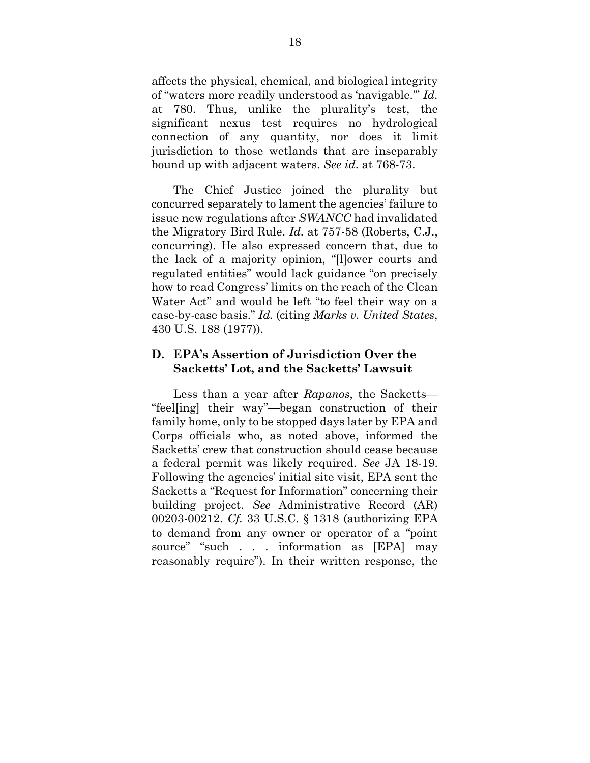affects the physical, chemical, and biological integrity of "waters more readily understood as 'navigable.'" *Id.*  at 780. Thus, unlike the plurality's test, the significant nexus test requires no hydrological connection of any quantity, nor does it limit jurisdiction to those wetlands that are inseparably bound up with adjacent waters. *See id*. at 768-73.

 The Chief Justice joined the plurality but concurred separately to lament the agencies' failure to issue new regulations after *SWANCC* had invalidated the Migratory Bird Rule. *Id.* at 757-58 (Roberts, C.J., concurring). He also expressed concern that, due to the lack of a majority opinion, "[l]ower courts and regulated entities" would lack guidance "on precisely how to read Congress' limits on the reach of the Clean Water Act" and would be left "to feel their way on a case-by-case basis." *Id.* (citing *Marks v. United States*, 430 U.S. 188 (1977)).

## **D. EPA's Assertion of Jurisdiction Over the Sacketts' Lot, and the Sacketts' Lawsuit**

 Less than a year after *Rapanos*, the Sacketts— "feel[ing] their way"—began construction of their family home, only to be stopped days later by EPA and Corps officials who, as noted above, informed the Sacketts' crew that construction should cease because a federal permit was likely required. *See* JA 18-19. Following the agencies' initial site visit, EPA sent the Sacketts a "Request for Information" concerning their building project. *See* Administrative Record (AR) 00203-00212. *Cf.* 33 U.S.C. § 1318 (authorizing EPA to demand from any owner or operator of a "point source" "such . . . information as [EPA] may reasonably require"). In their written response, the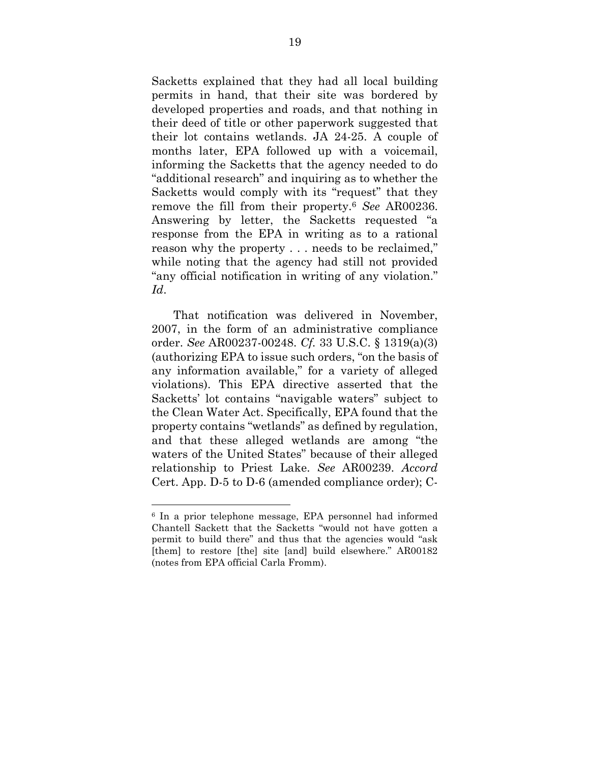Sacketts explained that they had all local building permits in hand, that their site was bordered by developed properties and roads, and that nothing in their deed of title or other paperwork suggested that their lot contains wetlands. JA 24-25. A couple of months later, EPA followed up with a voicemail, informing the Sacketts that the agency needed to do "additional research" and inquiring as to whether the Sacketts would comply with its "request" that they remove the fill from their property.<sup>6</sup> *See* AR00236. Answering by letter, the Sacketts requested "a response from the EPA in writing as to a rational reason why the property . . . needs to be reclaimed," while noting that the agency had still not provided "any official notification in writing of any violation." *Id*.

 That notification was delivered in November, 2007, in the form of an administrative compliance order. *See* AR00237-00248. *Cf.* 33 U.S.C. § 1319(a)(3) (authorizing EPA to issue such orders, "on the basis of any information available," for a variety of alleged violations). This EPA directive asserted that the Sacketts' lot contains "navigable waters" subject to the Clean Water Act. Specifically, EPA found that the property contains "wetlands" as defined by regulation, and that these alleged wetlands are among "the waters of the United States" because of their alleged relationship to Priest Lake. *See* AR00239. *Accord*  Cert. App. D-5 to D-6 (amended compliance order); C-

<sup>6</sup> In a prior telephone message, EPA personnel had informed Chantell Sackett that the Sacketts "would not have gotten a permit to build there" and thus that the agencies would "ask [them] to restore [the] site [and] build elsewhere." AR00182 (notes from EPA official Carla Fromm).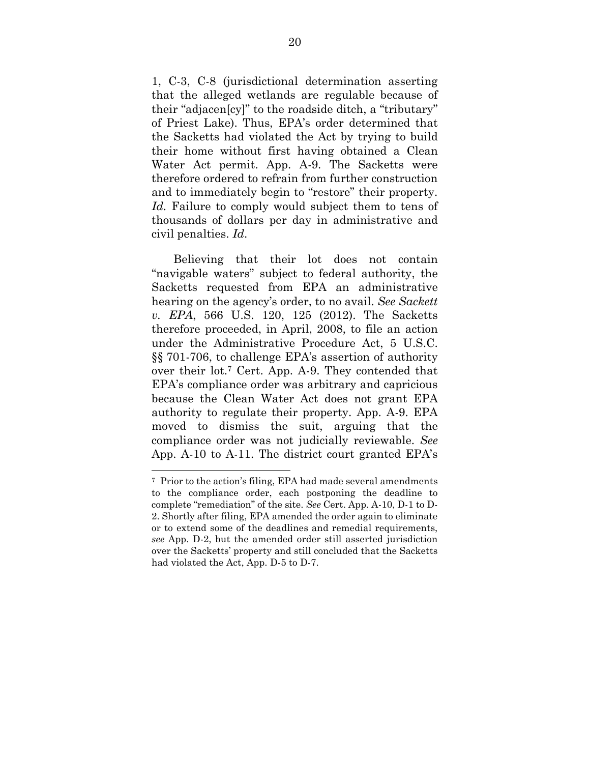1, C-3, C-8 (jurisdictional determination asserting that the alleged wetlands are regulable because of their "adjacen[cy]" to the roadside ditch, a "tributary" of Priest Lake). Thus, EPA's order determined that the Sacketts had violated the Act by trying to build their home without first having obtained a Clean Water Act permit. App. A-9. The Sacketts were therefore ordered to refrain from further construction and to immediately begin to "restore" their property. *Id.* Failure to comply would subject them to tens of thousands of dollars per day in administrative and civil penalties. *Id*.

 Believing that their lot does not contain "navigable waters" subject to federal authority, the Sacketts requested from EPA an administrative hearing on the agency's order, to no avail. *See Sackett v. EPA*, 566 U.S. 120, 125 (2012). The Sacketts therefore proceeded, in April, 2008, to file an action under the Administrative Procedure Act, 5 U.S.C. §§ 701-706, to challenge EPA's assertion of authority over their lot.7 Cert. App. A-9. They contended that EPA's compliance order was arbitrary and capricious because the Clean Water Act does not grant EPA authority to regulate their property. App. A-9. EPA moved to dismiss the suit, arguing that the compliance order was not judicially reviewable. *See*  App. A-10 to A-11. The district court granted EPA's

<sup>7</sup> Prior to the action's filing, EPA had made several amendments to the compliance order, each postponing the deadline to complete "remediation" of the site. *See* Cert. App. A-10, D-1 to D-2. Shortly after filing, EPA amended the order again to eliminate or to extend some of the deadlines and remedial requirements, *see* App. D-2, but the amended order still asserted jurisdiction over the Sacketts' property and still concluded that the Sacketts had violated the Act, App. D-5 to D-7.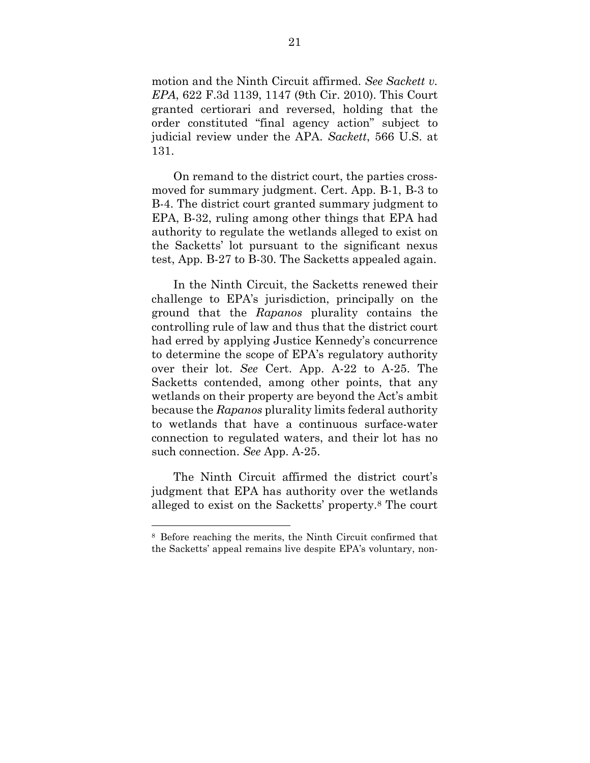motion and the Ninth Circuit affirmed. *See Sackett v. EPA*, 622 F.3d 1139, 1147 (9th Cir. 2010). This Court granted certiorari and reversed, holding that the order constituted "final agency action" subject to judicial review under the APA. *Sackett*, 566 U.S. at 131.

 On remand to the district court, the parties crossmoved for summary judgment. Cert. App. B-1, B-3 to B-4. The district court granted summary judgment to EPA, B-32, ruling among other things that EPA had authority to regulate the wetlands alleged to exist on the Sacketts' lot pursuant to the significant nexus test, App. B-27 to B-30. The Sacketts appealed again.

 In the Ninth Circuit, the Sacketts renewed their challenge to EPA's jurisdiction, principally on the ground that the *Rapanos* plurality contains the controlling rule of law and thus that the district court had erred by applying Justice Kennedy's concurrence to determine the scope of EPA's regulatory authority over their lot. *See* Cert. App. A-22 to A-25. The Sacketts contended, among other points, that any wetlands on their property are beyond the Act's ambit because the *Rapanos* plurality limits federal authority to wetlands that have a continuous surface-water connection to regulated waters, and their lot has no such connection. *See* App. A-25.

 The Ninth Circuit affirmed the district court's judgment that EPA has authority over the wetlands alleged to exist on the Sacketts' property.8 The court

<sup>8</sup> Before reaching the merits, the Ninth Circuit confirmed that the Sacketts' appeal remains live despite EPA's voluntary, non-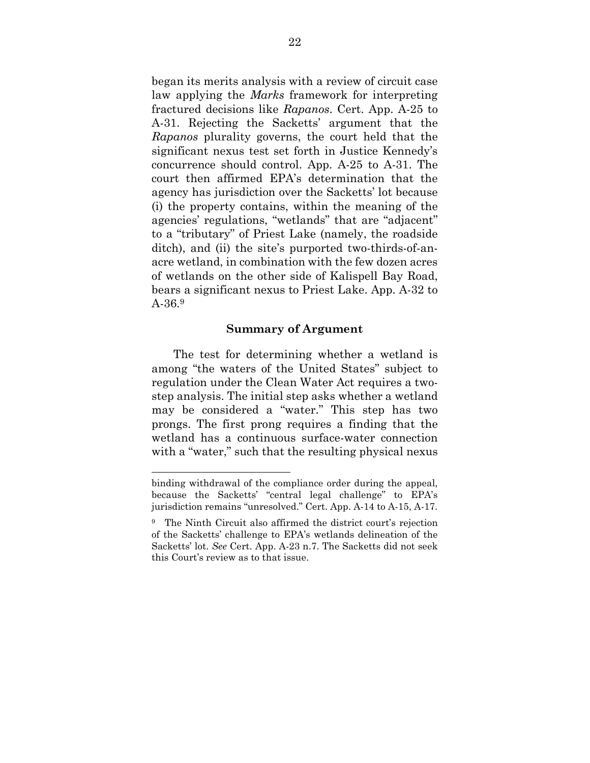began its merits analysis with a review of circuit case law applying the *Marks* framework for interpreting fractured decisions like *Rapanos*. Cert. App. A-25 to A-31. Rejecting the Sacketts' argument that the *Rapanos* plurality governs, the court held that the significant nexus test set forth in Justice Kennedy's concurrence should control. App. A-25 to A-31. The court then affirmed EPA's determination that the agency has jurisdiction over the Sacketts' lot because (i) the property contains, within the meaning of the agencies' regulations, "wetlands" that are "adjacent" to a "tributary" of Priest Lake (namely, the roadside ditch), and (ii) the site's purported two-thirds-of-anacre wetland, in combination with the few dozen acres of wetlands on the other side of Kalispell Bay Road, bears a significant nexus to Priest Lake. App. A-32 to A-36.<sup>9</sup>

#### **Summary of Argument**

 The test for determining whether a wetland is among "the waters of the United States" subject to regulation under the Clean Water Act requires a twostep analysis. The initial step asks whether a wetland may be considered a "water." This step has two prongs. The first prong requires a finding that the wetland has a continuous surface-water connection with a "water," such that the resulting physical nexus

binding withdrawal of the compliance order during the appeal, because the Sacketts' "central legal challenge" to EPA's jurisdiction remains "unresolved." Cert. App. A-14 to A-15, A-17.

<sup>9</sup> The Ninth Circuit also affirmed the district court's rejection of the Sacketts' challenge to EPA's wetlands delineation of the Sacketts' lot. *See* Cert. App. A-23 n.7. The Sacketts did not seek this Court's review as to that issue.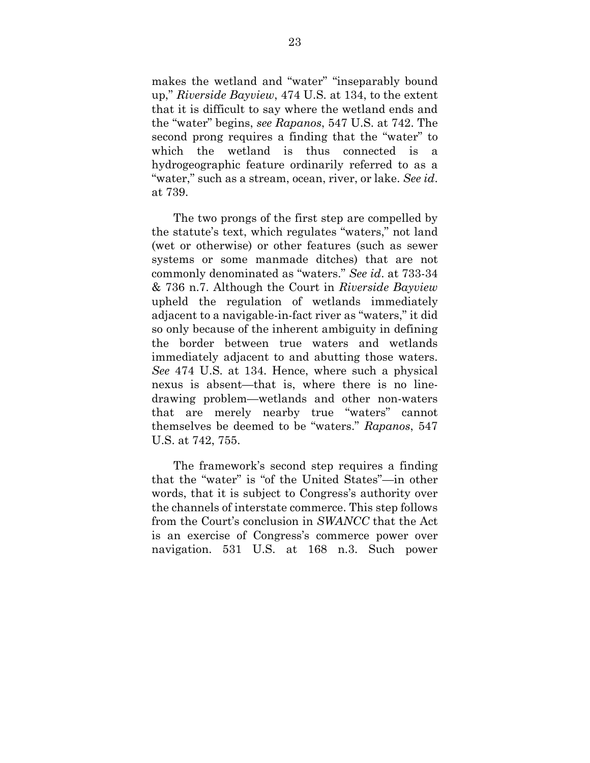makes the wetland and "water" "inseparably bound up," *Riverside Bayview*, 474 U.S. at 134, to the extent that it is difficult to say where the wetland ends and the "water" begins, *see Rapanos*, 547 U.S. at 742. The second prong requires a finding that the "water" to which the wetland is thus connected is a hydrogeographic feature ordinarily referred to as a "water," such as a stream, ocean, river, or lake. *See id*. at 739.

 The two prongs of the first step are compelled by the statute's text, which regulates "waters," not land (wet or otherwise) or other features (such as sewer systems or some manmade ditches) that are not commonly denominated as "waters." *See id*. at 733-34 & 736 n.7. Although the Court in *Riverside Bayview* upheld the regulation of wetlands immediately adjacent to a navigable-in-fact river as "waters," it did so only because of the inherent ambiguity in defining the border between true waters and wetlands immediately adjacent to and abutting those waters. *See* 474 U.S. at 134. Hence, where such a physical nexus is absent—that is, where there is no linedrawing problem—wetlands and other non-waters that are merely nearby true "waters" cannot themselves be deemed to be "waters." *Rapanos*, 547 U.S. at 742, 755.

 The framework's second step requires a finding that the "water" is "of the United States"—in other words, that it is subject to Congress's authority over the channels of interstate commerce. This step follows from the Court's conclusion in *SWANCC* that the Act is an exercise of Congress's commerce power over navigation. 531 U.S. at 168 n.3. Such power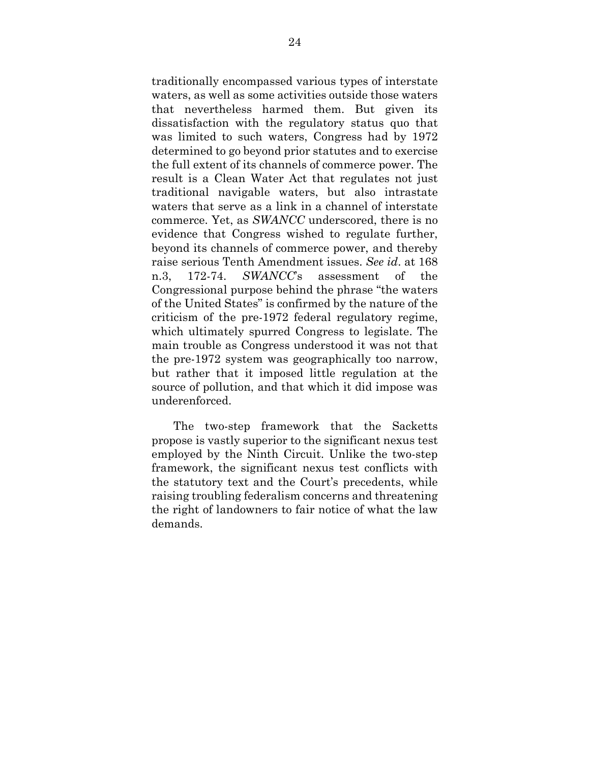traditionally encompassed various types of interstate waters, as well as some activities outside those waters that nevertheless harmed them. But given its dissatisfaction with the regulatory status quo that was limited to such waters, Congress had by 1972 determined to go beyond prior statutes and to exercise the full extent of its channels of commerce power. The result is a Clean Water Act that regulates not just traditional navigable waters, but also intrastate waters that serve as a link in a channel of interstate commerce. Yet, as *SWANCC* underscored, there is no evidence that Congress wished to regulate further, beyond its channels of commerce power, and thereby raise serious Tenth Amendment issues. *See id*. at 168 n.3, 172-74. *SWANCC*'s assessment of the Congressional purpose behind the phrase "the waters of the United States" is confirmed by the nature of the criticism of the pre-1972 federal regulatory regime, which ultimately spurred Congress to legislate. The main trouble as Congress understood it was not that the pre-1972 system was geographically too narrow, but rather that it imposed little regulation at the source of pollution, and that which it did impose was underenforced.

 The two-step framework that the Sacketts propose is vastly superior to the significant nexus test employed by the Ninth Circuit. Unlike the two-step framework, the significant nexus test conflicts with the statutory text and the Court's precedents, while raising troubling federalism concerns and threatening the right of landowners to fair notice of what the law demands.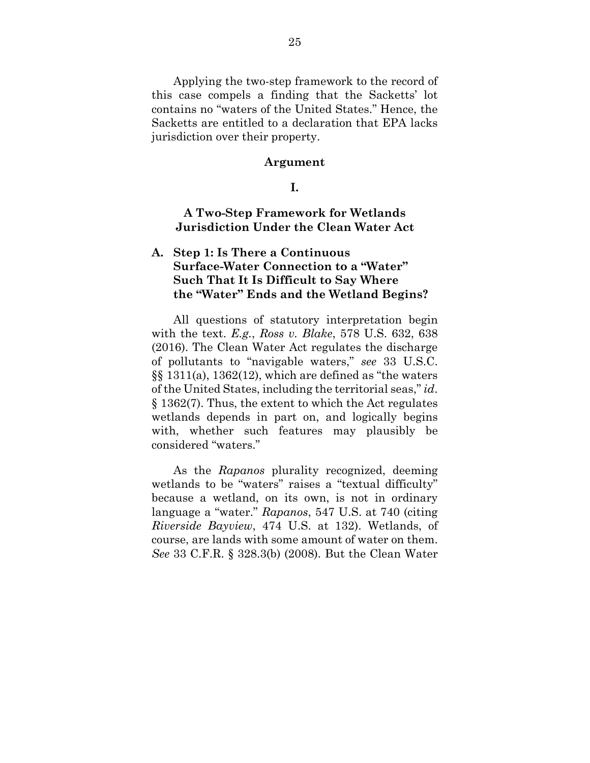Applying the two-step framework to the record of this case compels a finding that the Sacketts' lot contains no "waters of the United States." Hence, the Sacketts are entitled to a declaration that EPA lacks jurisdiction over their property.

#### **Argument**

#### **I.**

## **A Two-Step Framework for Wetlands Jurisdiction Under the Clean Water Act**

## **A. Step 1: Is There a Continuous Surface-Water Connection to a "Water" Such That It Is Difficult to Say Where the "Water" Ends and the Wetland Begins?**

 All questions of statutory interpretation begin with the text. *E.g.*, *Ross v. Blake*, 578 U.S. 632, 638 (2016). The Clean Water Act regulates the discharge of pollutants to "navigable waters," *see* 33 U.S.C. §§ 1311(a), 1362(12), which are defined as "the waters of the United States, including the territorial seas," *id*. § 1362(7). Thus, the extent to which the Act regulates wetlands depends in part on, and logically begins with, whether such features may plausibly be considered "waters."

 As the *Rapanos* plurality recognized, deeming wetlands to be "waters" raises a "textual difficulty" because a wetland, on its own, is not in ordinary language a "water." *Rapanos*, 547 U.S. at 740 (citing *Riverside Bayview*, 474 U.S. at 132). Wetlands, of course, are lands with some amount of water on them. *See* 33 C.F.R. § 328.3(b) (2008). But the Clean Water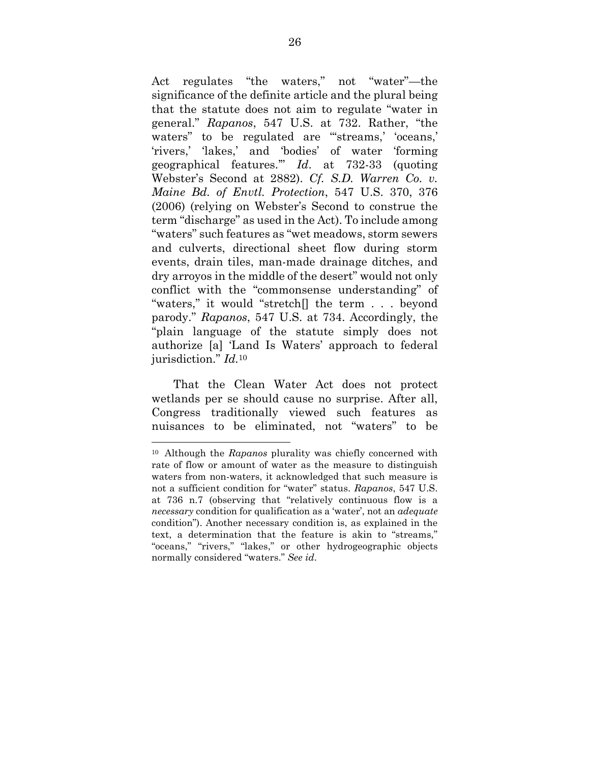Act regulates "the waters," not "water"—the significance of the definite article and the plural being that the statute does not aim to regulate "water in general." *Rapanos*, 547 U.S. at 732. Rather, "the waters" to be regulated are "streams,' 'oceans,' 'rivers,' 'lakes,' and 'bodies' of water 'forming geographical features.'" *Id*. at 732-33 (quoting Webster's Second at 2882). *Cf. S.D. Warren Co. v. Maine Bd. of Envtl. Protection*, 547 U.S. 370, 376 (2006) (relying on Webster's Second to construe the term "discharge" as used in the Act). To include among "waters" such features as "wet meadows, storm sewers and culverts, directional sheet flow during storm events, drain tiles, man-made drainage ditches, and dry arroyos in the middle of the desert" would not only conflict with the "commonsense understanding" of "waters," it would "stretch[] the term . . . beyond parody." *Rapanos*, 547 U.S. at 734. Accordingly, the "plain language of the statute simply does not authorize [a] 'Land Is Waters' approach to federal jurisdiction." *Id.*<sup>10</sup>

 That the Clean Water Act does not protect wetlands per se should cause no surprise. After all, Congress traditionally viewed such features as nuisances to be eliminated, not "waters" to be

<sup>10</sup> Although the *Rapanos* plurality was chiefly concerned with rate of flow or amount of water as the measure to distinguish waters from non-waters, it acknowledged that such measure is not a sufficient condition for "water" status. *Rapanos*, 547 U.S. at 736 n.7 (observing that "relatively continuous flow is a *necessary* condition for qualification as a 'water', not an *adequate* condition"). Another necessary condition is, as explained in the text, a determination that the feature is akin to "streams," "oceans," "rivers," "lakes," or other hydrogeographic objects normally considered "waters." *See id*.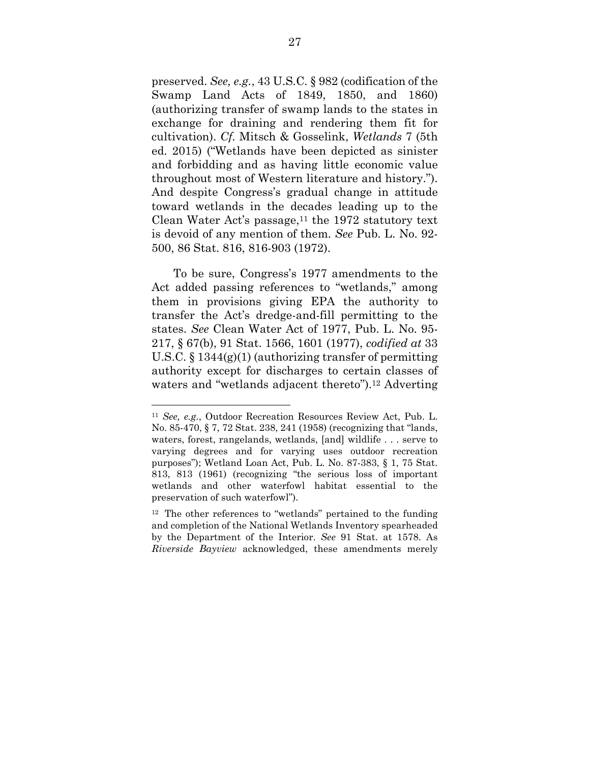preserved. *See, e.g.*, 43 U.S.C. § 982 (codification of the Swamp Land Acts of 1849, 1850, and 1860) (authorizing transfer of swamp lands to the states in exchange for draining and rendering them fit for cultivation). *Cf.* Mitsch & Gosselink, *Wetlands* 7 (5th ed. 2015) ("Wetlands have been depicted as sinister and forbidding and as having little economic value throughout most of Western literature and history."). And despite Congress's gradual change in attitude toward wetlands in the decades leading up to the Clean Water Act's passage,  $11$  the 1972 statutory text is devoid of any mention of them. *See* Pub. L. No. 92- 500, 86 Stat. 816, 816-903 (1972).

 To be sure, Congress's 1977 amendments to the Act added passing references to "wetlands," among them in provisions giving EPA the authority to transfer the Act's dredge-and-fill permitting to the states. *See* Clean Water Act of 1977, Pub. L. No. 95- 217, § 67(b), 91 Stat. 1566, 1601 (1977), *codified at* 33 U.S.C. § 1344(g)(1) (authorizing transfer of permitting authority except for discharges to certain classes of waters and "wetlands adjacent thereto").12 Adverting

<sup>11</sup> *See, e.g.*, Outdoor Recreation Resources Review Act, Pub. L. No. 85-470, § 7, 72 Stat. 238, 241 (1958) (recognizing that "lands, waters, forest, rangelands, wetlands, [and] wildlife . . . serve to varying degrees and for varying uses outdoor recreation purposes"); Wetland Loan Act, Pub. L. No. 87-383, § 1, 75 Stat. 813, 813 (1961) (recognizing "the serious loss of important wetlands and other waterfowl habitat essential to the preservation of such waterfowl").

<sup>12</sup> The other references to "wetlands" pertained to the funding and completion of the National Wetlands Inventory spearheaded by the Department of the Interior. *See* 91 Stat. at 1578. As *Riverside Bayview* acknowledged, these amendments merely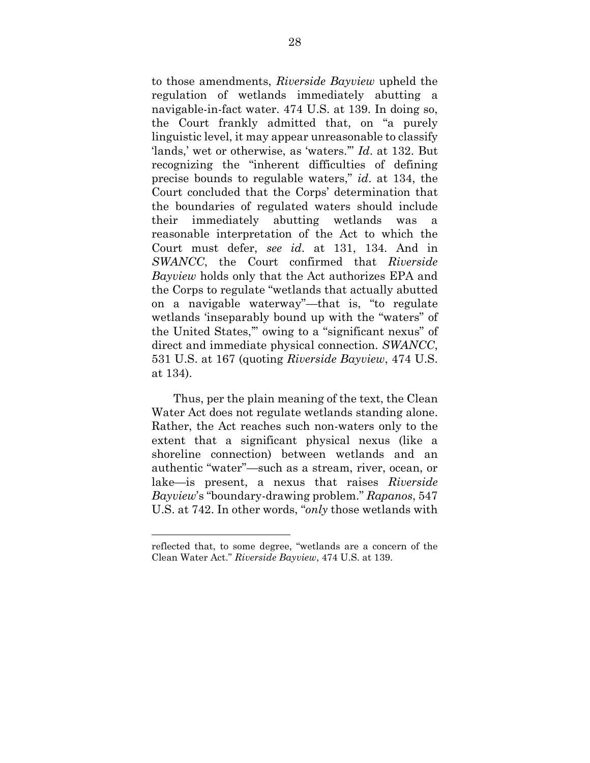to those amendments, *Riverside Bayview* upheld the regulation of wetlands immediately abutting a navigable-in-fact water. 474 U.S. at 139. In doing so, the Court frankly admitted that, on "a purely linguistic level, it may appear unreasonable to classify 'lands,' wet or otherwise, as 'waters.'" *Id*. at 132. But recognizing the "inherent difficulties of defining precise bounds to regulable waters," *id*. at 134, the Court concluded that the Corps' determination that the boundaries of regulated waters should include their immediately abutting wetlands was a reasonable interpretation of the Act to which the Court must defer, *see id*. at 131, 134. And in *SWANCC*, the Court confirmed that *Riverside Bayview* holds only that the Act authorizes EPA and the Corps to regulate "wetlands that actually abutted on a navigable waterway"—that is, "to regulate wetlands 'inseparably bound up with the "waters" of the United States,'" owing to a "significant nexus" of direct and immediate physical connection. *SWANCC*, 531 U.S. at 167 (quoting *Riverside Bayview*, 474 U.S. at 134).

 Thus, per the plain meaning of the text, the Clean Water Act does not regulate wetlands standing alone. Rather, the Act reaches such non-waters only to the extent that a significant physical nexus (like a shoreline connection) between wetlands and an authentic "water"—such as a stream, river, ocean, or lake—is present, a nexus that raises *Riverside Bayview*'s "boundary-drawing problem." *Rapanos*, 547 U.S. at 742. In other words, "*only* those wetlands with

reflected that, to some degree, "wetlands are a concern of the Clean Water Act." *Riverside Bayview*, 474 U.S. at 139.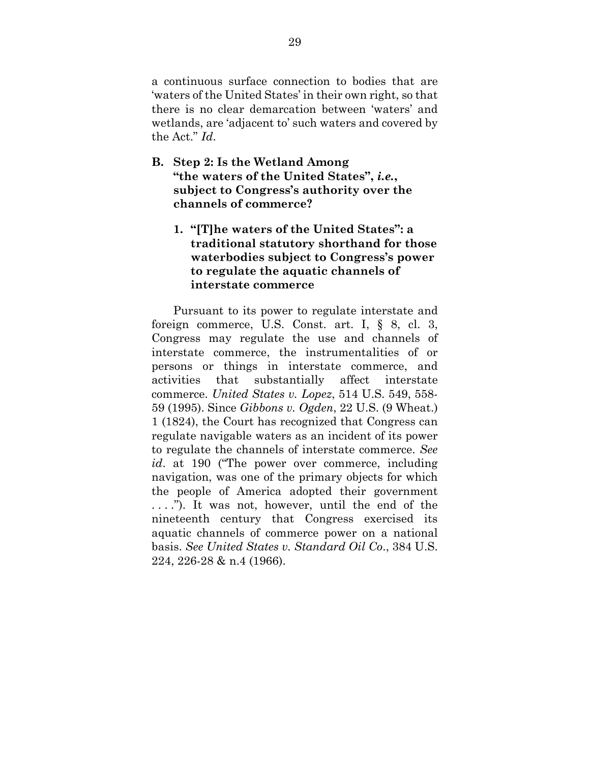a continuous surface connection to bodies that are 'waters of the United States' in their own right, so that there is no clear demarcation between 'waters' and wetlands, are 'adjacent to' such waters and covered by the Act." *Id*.

- **B. Step 2: Is the Wetland Among "the waters of the United States",** *i.e.***, subject to Congress's authority over the channels of commerce?** 
	- **1. "[T]he waters of the United States": a traditional statutory shorthand for those waterbodies subject to Congress's power to regulate the aquatic channels of interstate commerce**

 Pursuant to its power to regulate interstate and foreign commerce, U.S. Const. art. I, § 8, cl. 3, Congress may regulate the use and channels of interstate commerce, the instrumentalities of or persons or things in interstate commerce, and activities that substantially affect interstate commerce. *United States v. Lopez*, 514 U.S. 549, 558- 59 (1995). Since *Gibbons v. Ogden*, 22 U.S. (9 Wheat.) 1 (1824), the Court has recognized that Congress can regulate navigable waters as an incident of its power to regulate the channels of interstate commerce. *See id*. at 190 ("The power over commerce, including navigation, was one of the primary objects for which the people of America adopted their government . . . ."). It was not, however, until the end of the nineteenth century that Congress exercised its aquatic channels of commerce power on a national basis. *See United States v. Standard Oil Co*., 384 U.S. 224, 226-28 & n.4 (1966).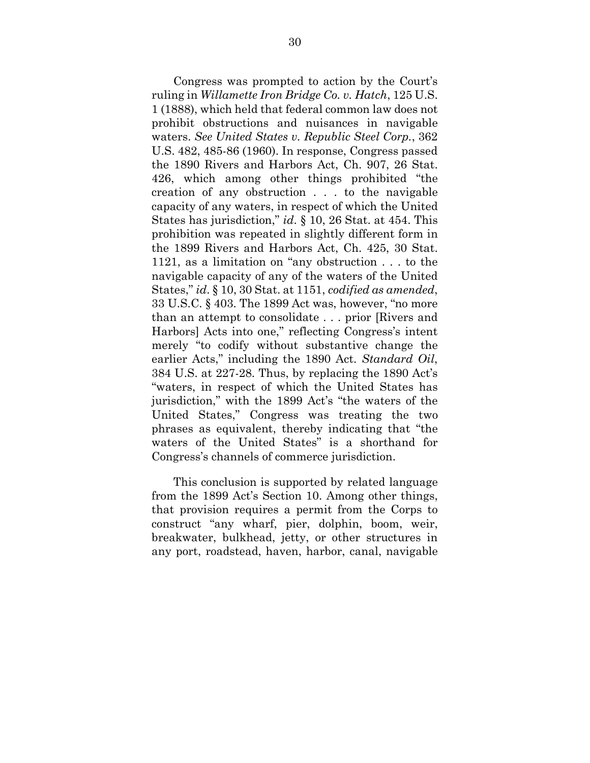Congress was prompted to action by the Court's ruling in *Willamette Iron Bridge Co. v. Hatch*, 125 U.S. 1 (1888), which held that federal common law does not prohibit obstructions and nuisances in navigable waters. *See United States v. Republic Steel Corp.*, 362 U.S. 482, 485-86 (1960). In response, Congress passed the 1890 Rivers and Harbors Act, Ch. 907, 26 Stat. 426, which among other things prohibited "the creation of any obstruction . . . to the navigable capacity of any waters, in respect of which the United States has jurisdiction," *id*. § 10, 26 Stat. at 454. This prohibition was repeated in slightly different form in the 1899 Rivers and Harbors Act, Ch. 425, 30 Stat. 1121, as a limitation on "any obstruction . . . to the navigable capacity of any of the waters of the United States," *id*. § 10, 30 Stat. at 1151, *codified as amended*, 33 U.S.C. § 403. The 1899 Act was, however, "no more than an attempt to consolidate . . . prior [Rivers and Harbors] Acts into one," reflecting Congress's intent merely "to codify without substantive change the earlier Acts," including the 1890 Act. *Standard Oil*, 384 U.S. at 227-28. Thus, by replacing the 1890 Act's "waters, in respect of which the United States has jurisdiction," with the 1899 Act's "the waters of the United States," Congress was treating the two phrases as equivalent, thereby indicating that "the waters of the United States" is a shorthand for Congress's channels of commerce jurisdiction.

 This conclusion is supported by related language from the 1899 Act's Section 10. Among other things, that provision requires a permit from the Corps to construct "any wharf, pier, dolphin, boom, weir, breakwater, bulkhead, jetty, or other structures in any port, roadstead, haven, harbor, canal, navigable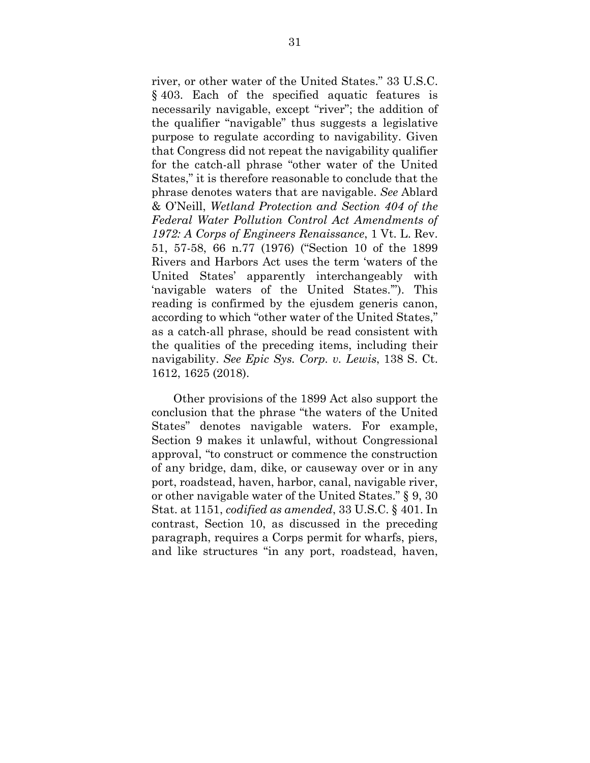river, or other water of the United States." 33 U.S.C. § 403. Each of the specified aquatic features is necessarily navigable, except "river"; the addition of the qualifier "navigable" thus suggests a legislative purpose to regulate according to navigability. Given that Congress did not repeat the navigability qualifier for the catch-all phrase "other water of the United States," it is therefore reasonable to conclude that the phrase denotes waters that are navigable. *See* Ablard & O'Neill, *Wetland Protection and Section 404 of the Federal Water Pollution Control Act Amendments of 1972: A Corps of Engineers Renaissance*, 1 Vt. L. Rev. 51, 57-58, 66 n.77 (1976) ("Section 10 of the 1899 Rivers and Harbors Act uses the term 'waters of the United States' apparently interchangeably with 'navigable waters of the United States.'"). This reading is confirmed by the ejusdem generis canon, according to which "other water of the United States," as a catch-all phrase, should be read consistent with the qualities of the preceding items, including their navigability. *See Epic Sys. Corp. v. Lewis*, 138 S. Ct. 1612, 1625 (2018).

 Other provisions of the 1899 Act also support the conclusion that the phrase "the waters of the United States" denotes navigable waters. For example, Section 9 makes it unlawful, without Congressional approval, "to construct or commence the construction of any bridge, dam, dike, or causeway over or in any port, roadstead, haven, harbor, canal, navigable river, or other navigable water of the United States." § 9, 30 Stat. at 1151, *codified as amended*, 33 U.S.C. § 401. In contrast, Section 10, as discussed in the preceding paragraph, requires a Corps permit for wharfs, piers, and like structures "in any port, roadstead, haven,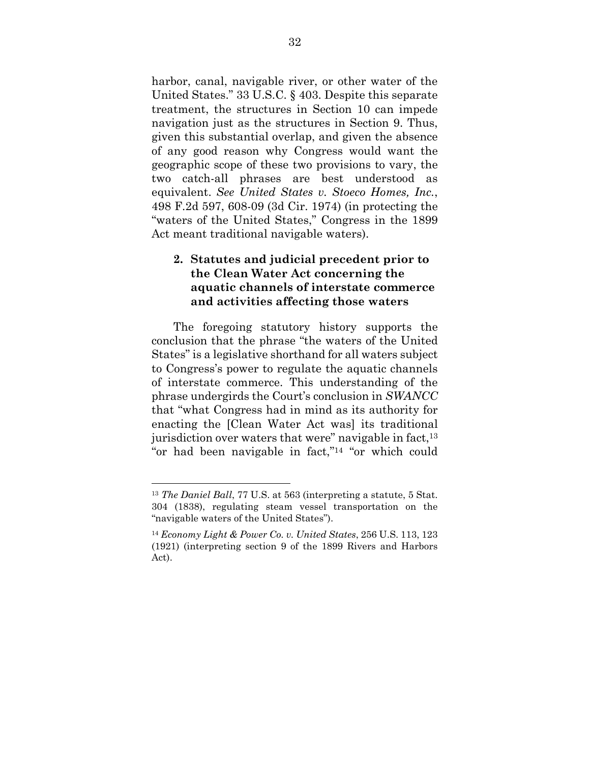harbor, canal, navigable river, or other water of the United States." 33 U.S.C. § 403. Despite this separate treatment, the structures in Section 10 can impede navigation just as the structures in Section 9. Thus, given this substantial overlap, and given the absence of any good reason why Congress would want the geographic scope of these two provisions to vary, the two catch-all phrases are best understood as equivalent. *See United States v. Stoeco Homes, Inc.*, 498 F.2d 597, 608-09 (3d Cir. 1974) (in protecting the "waters of the United States," Congress in the 1899 Act meant traditional navigable waters).

## **2. Statutes and judicial precedent prior to the Clean Water Act concerning the aquatic channels of interstate commerce and activities affecting those waters**

 The foregoing statutory history supports the conclusion that the phrase "the waters of the United States" is a legislative shorthand for all waters subject to Congress's power to regulate the aquatic channels of interstate commerce. This understanding of the phrase undergirds the Court's conclusion in *SWANCC* that "what Congress had in mind as its authority for enacting the [Clean Water Act was] its traditional jurisdiction over waters that were" navigable in fact,<sup>13</sup> "or had been navigable in fact,"14 "or which could

<sup>13</sup> *The Daniel Ball*, 77 U.S. at 563 (interpreting a statute, 5 Stat. 304 (1838), regulating steam vessel transportation on the "navigable waters of the United States").

<sup>14</sup> *Economy Light & Power Co. v. United States*, 256 U.S. 113, 123 (1921) (interpreting section 9 of the 1899 Rivers and Harbors Act).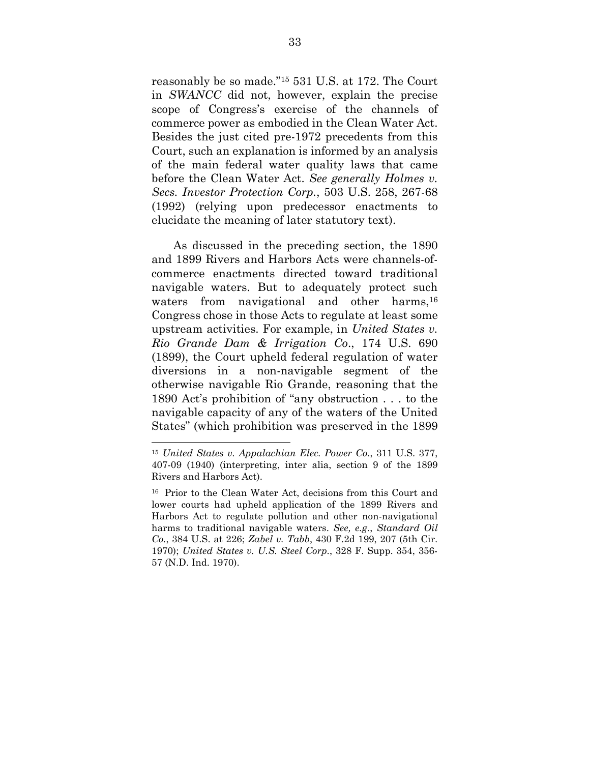reasonably be so made."15 531 U.S. at 172. The Court in *SWANCC* did not, however, explain the precise scope of Congress's exercise of the channels of commerce power as embodied in the Clean Water Act. Besides the just cited pre-1972 precedents from this Court, such an explanation is informed by an analysis of the main federal water quality laws that came before the Clean Water Act. *See generally Holmes v. Secs. Investor Protection Corp.*, 503 U.S. 258, 267-68 (1992) (relying upon predecessor enactments to elucidate the meaning of later statutory text).

 As discussed in the preceding section, the 1890 and 1899 Rivers and Harbors Acts were channels-ofcommerce enactments directed toward traditional navigable waters. But to adequately protect such waters from navigational and other harms,<sup>16</sup> Congress chose in those Acts to regulate at least some upstream activities. For example, in *United States v. Rio Grande Dam & Irrigation Co*., 174 U.S. 690 (1899), the Court upheld federal regulation of water diversions in a non-navigable segment of the otherwise navigable Rio Grande, reasoning that the 1890 Act's prohibition of "any obstruction . . . to the navigable capacity of any of the waters of the United States" (which prohibition was preserved in the 1899

<sup>15</sup> *United States v. Appalachian Elec. Power Co*., 311 U.S. 377, 407-09 (1940) (interpreting, inter alia, section 9 of the 1899 Rivers and Harbors Act).

<sup>16</sup> Prior to the Clean Water Act, decisions from this Court and lower courts had upheld application of the 1899 Rivers and Harbors Act to regulate pollution and other non-navigational harms to traditional navigable waters. *See, e.g.*, *Standard Oil Co.*, 384 U.S. at 226; *Zabel v. Tabb*, 430 F.2d 199, 207 (5th Cir. 1970); *United States v. U.S. Steel Corp.*, 328 F. Supp. 354, 356- 57 (N.D. Ind. 1970).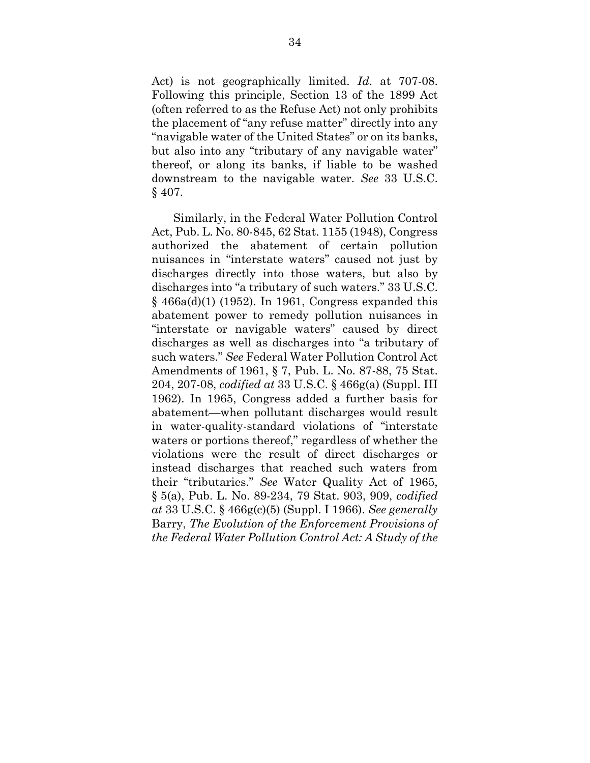Act) is not geographically limited. *Id*. at 707-08. Following this principle, Section 13 of the 1899 Act (often referred to as the Refuse Act) not only prohibits the placement of "any refuse matter" directly into any "navigable water of the United States" or on its banks, but also into any "tributary of any navigable water" thereof, or along its banks, if liable to be washed downstream to the navigable water. *See* 33 U.S.C. § 407.

 Similarly, in the Federal Water Pollution Control Act, Pub. L. No. 80-845, 62 Stat. 1155 (1948), Congress authorized the abatement of certain pollution nuisances in "interstate waters" caused not just by discharges directly into those waters, but also by discharges into "a tributary of such waters." 33 U.S.C. § 466a(d)(1) (1952). In 1961, Congress expanded this abatement power to remedy pollution nuisances in "interstate or navigable waters" caused by direct discharges as well as discharges into "a tributary of such waters." *See* Federal Water Pollution Control Act Amendments of 1961, § 7, Pub. L. No. 87-88, 75 Stat. 204, 207-08, *codified at* 33 U.S.C. § 466g(a) (Suppl. III 1962). In 1965, Congress added a further basis for abatement—when pollutant discharges would result in water-quality-standard violations of "interstate waters or portions thereof," regardless of whether the violations were the result of direct discharges or instead discharges that reached such waters from their "tributaries." *See* Water Quality Act of 1965, § 5(a), Pub. L. No. 89-234, 79 Stat. 903, 909, *codified at* 33 U.S.C. § 466g(c)(5) (Suppl. I 1966). *See generally* Barry, *The Evolution of the Enforcement Provisions of the Federal Water Pollution Control Act: A Study of the*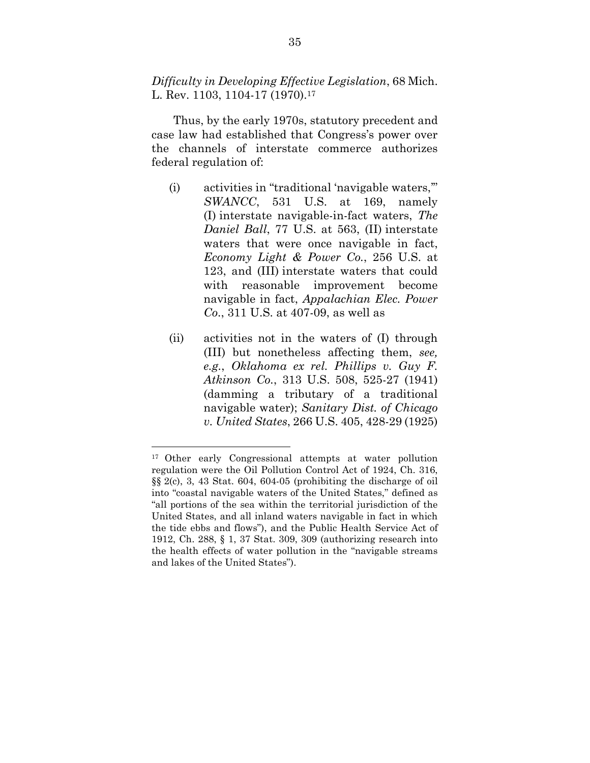*Difficulty in Developing Effective Legislation*, 68 Mich. L. Rev. 1103, 1104-17 (1970).<sup>17</sup>

 Thus, by the early 1970s, statutory precedent and case law had established that Congress's power over the channels of interstate commerce authorizes federal regulation of:

- (i) activities in "traditional 'navigable waters,'" *SWANCC*, 531 U.S. at 169, namely (I) interstate navigable-in-fact waters, *The Daniel Ball*, 77 U.S. at 563, (II) interstate waters that were once navigable in fact, *Economy Light & Power Co.*, 256 U.S. at 123, and (III) interstate waters that could with reasonable improvement become navigable in fact, *Appalachian Elec. Power Co*., 311 U.S. at 407-09, as well as
- (ii) activities not in the waters of (I) through (III) but nonetheless affecting them, *see, e.g.*, *Oklahoma ex rel. Phillips v. Guy F. Atkinson Co.*, 313 U.S. 508, 525-27 (1941) (damming a tributary of a traditional navigable water); *Sanitary Dist. of Chicago v. United States*, 266 U.S. 405, 428-29 (1925)

<sup>17</sup> Other early Congressional attempts at water pollution regulation were the Oil Pollution Control Act of 1924, Ch. 316, §§ 2(c), 3, 43 Stat. 604, 604-05 (prohibiting the discharge of oil into "coastal navigable waters of the United States," defined as "all portions of the sea within the territorial jurisdiction of the United States, and all inland waters navigable in fact in which the tide ebbs and flows"), and the Public Health Service Act of 1912, Ch. 288, § 1, 37 Stat. 309, 309 (authorizing research into the health effects of water pollution in the "navigable streams and lakes of the United States").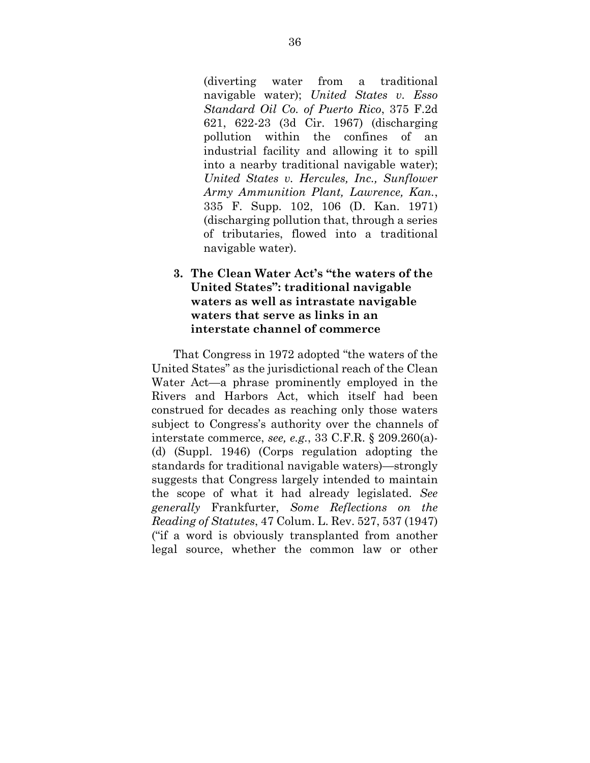(diverting water from a traditional navigable water); *United States v. Esso Standard Oil Co. of Puerto Rico*, 375 F.2d 621, 622-23 (3d Cir. 1967) (discharging pollution within the confines of an industrial facility and allowing it to spill into a nearby traditional navigable water); *United States v. Hercules, Inc., Sunflower Army Ammunition Plant, Lawrence, Kan.*, 335 F. Supp. 102, 106 (D. Kan. 1971) (discharging pollution that, through a series of tributaries, flowed into a traditional navigable water).

## **3. The Clean Water Act's "the waters of the United States": traditional navigable waters as well as intrastate navigable waters that serve as links in an interstate channel of commerce**

 That Congress in 1972 adopted "the waters of the United States" as the jurisdictional reach of the Clean Water Act—a phrase prominently employed in the Rivers and Harbors Act, which itself had been construed for decades as reaching only those waters subject to Congress's authority over the channels of interstate commerce, *see, e.g.*, 33 C.F.R. § 209.260(a)- (d) (Suppl. 1946) (Corps regulation adopting the standards for traditional navigable waters)—strongly suggests that Congress largely intended to maintain the scope of what it had already legislated. *See generally* Frankfurter, *Some Reflections on the Reading of Statutes*, 47 Colum. L. Rev. 527, 537 (1947) ("if a word is obviously transplanted from another legal source, whether the common law or other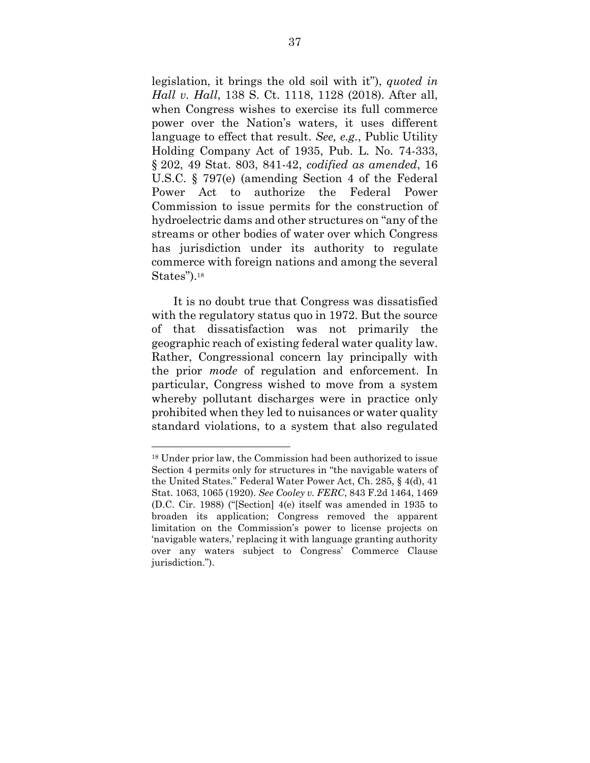legislation, it brings the old soil with it"), *quoted in Hall v. Hall*, 138 S. Ct. 1118, 1128 (2018). After all, when Congress wishes to exercise its full commerce power over the Nation's waters, it uses different language to effect that result. *See, e.g.*, Public Utility Holding Company Act of 1935, Pub. L. No. 74-333, § 202, 49 Stat. 803, 841-42, *codified as amended*, 16 U.S.C. § 797(e) (amending Section 4 of the Federal Power Act to authorize the Federal Power Commission to issue permits for the construction of hydroelectric dams and other structures on "any of the streams or other bodies of water over which Congress has jurisdiction under its authority to regulate commerce with foreign nations and among the several States").<sup>18</sup>

 It is no doubt true that Congress was dissatisfied with the regulatory status quo in 1972. But the source of that dissatisfaction was not primarily the geographic reach of existing federal water quality law. Rather, Congressional concern lay principally with the prior *mode* of regulation and enforcement. In particular, Congress wished to move from a system whereby pollutant discharges were in practice only prohibited when they led to nuisances or water quality standard violations, to a system that also regulated

<sup>18</sup> Under prior law, the Commission had been authorized to issue Section 4 permits only for structures in "the navigable waters of the United States." Federal Water Power Act, Ch. 285, § 4(d), 41 Stat. 1063, 1065 (1920). *See Cooley v. FERC*, 843 F.2d 1464, 1469 (D.C. Cir. 1988) ("[Section] 4(e) itself was amended in 1935 to broaden its application; Congress removed the apparent limitation on the Commission's power to license projects on 'navigable waters,' replacing it with language granting authority over any waters subject to Congress' Commerce Clause jurisdiction.").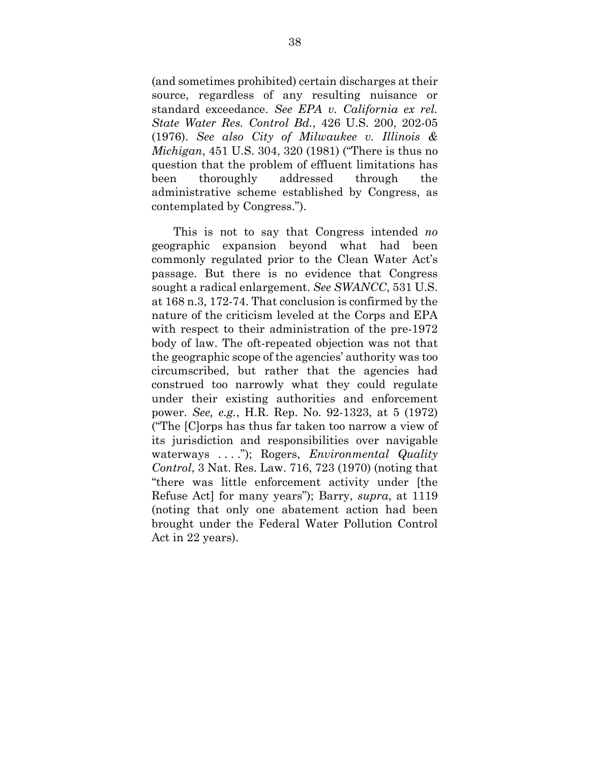(and sometimes prohibited) certain discharges at their source, regardless of any resulting nuisance or standard exceedance. *See EPA v. California ex rel. State Water Res. Control Bd.*, 426 U.S. 200, 202-05 (1976). *See also City of Milwaukee v. Illinois & Michigan*, 451 U.S. 304, 320 (1981) ("There is thus no question that the problem of effluent limitations has been thoroughly addressed through the administrative scheme established by Congress, as contemplated by Congress.").

 This is not to say that Congress intended *no*  geographic expansion beyond what had been commonly regulated prior to the Clean Water Act's passage. But there is no evidence that Congress sought a radical enlargement. *See SWANCC*, 531 U.S. at 168 n.3, 172-74. That conclusion is confirmed by the nature of the criticism leveled at the Corps and EPA with respect to their administration of the pre-1972 body of law. The oft-repeated objection was not that the geographic scope of the agencies' authority was too circumscribed, but rather that the agencies had construed too narrowly what they could regulate under their existing authorities and enforcement power. *See, e.g.*, H.R. Rep. No. 92-1323, at 5 (1972) ("The [C]orps has thus far taken too narrow a view of its jurisdiction and responsibilities over navigable waterways . . . ."); Rogers, *Environmental Quality Control*, 3 Nat. Res. Law. 716, 723 (1970) (noting that "there was little enforcement activity under [the Refuse Act] for many years"); Barry, *supra*, at 1119 (noting that only one abatement action had been brought under the Federal Water Pollution Control Act in 22 years).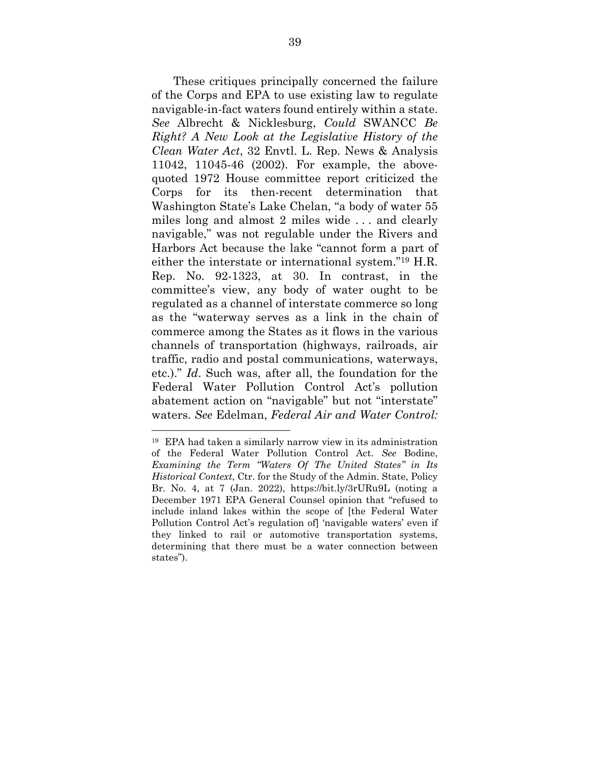These critiques principally concerned the failure of the Corps and EPA to use existing law to regulate navigable-in-fact waters found entirely within a state. *See* Albrecht & Nicklesburg, *Could* SWANCC *Be Right? A New Look at the Legislative History of the Clean Water Act*, 32 Envtl. L. Rep. News & Analysis 11042, 11045-46 (2002). For example, the abovequoted 1972 House committee report criticized the Corps for its then-recent determination that Washington State's Lake Chelan, "a body of water 55 miles long and almost 2 miles wide . . . and clearly navigable," was not regulable under the Rivers and Harbors Act because the lake "cannot form a part of either the interstate or international system."19 H.R. Rep. No. 92-1323, at 30. In contrast, in the committee's view, any body of water ought to be regulated as a channel of interstate commerce so long as the "waterway serves as a link in the chain of commerce among the States as it flows in the various channels of transportation (highways, railroads, air traffic, radio and postal communications, waterways, etc.)." *Id*. Such was, after all, the foundation for the Federal Water Pollution Control Act's pollution abatement action on "navigable" but not "interstate" waters. *See* Edelman, *Federal Air and Water Control:* 

<sup>19</sup> EPA had taken a similarly narrow view in its administration of the Federal Water Pollution Control Act. *See* Bodine, *Examining the Term "Waters Of The United States" in Its Historical Context*, Ctr. for the Study of the Admin. State, Policy Br. No. 4, at 7 (Jan. 2022), https://bit.ly/3rURu9L (noting a December 1971 EPA General Counsel opinion that "refused to include inland lakes within the scope of [the Federal Water Pollution Control Act's regulation of] 'navigable waters' even if they linked to rail or automotive transportation systems, determining that there must be a water connection between states").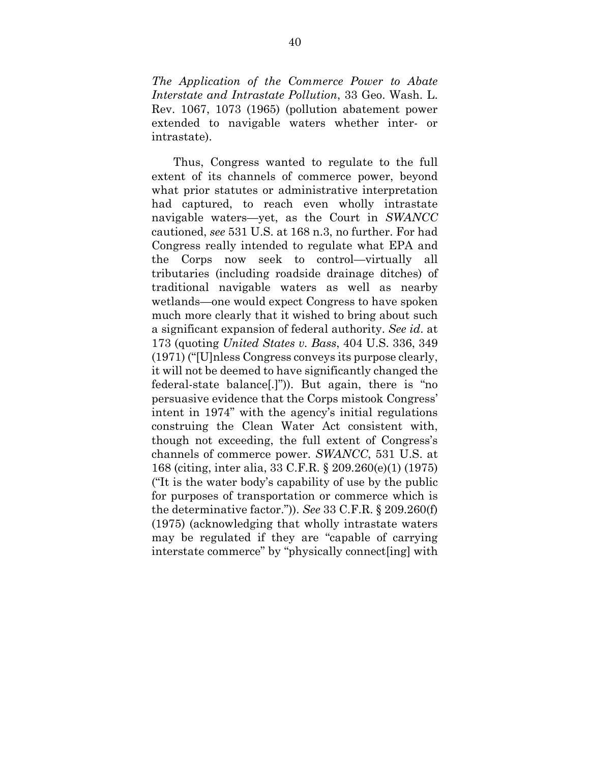*The Application of the Commerce Power to Abate Interstate and Intrastate Pollution*, 33 Geo. Wash. L. Rev. 1067, 1073 (1965) (pollution abatement power extended to navigable waters whether inter- or intrastate).

 Thus, Congress wanted to regulate to the full extent of its channels of commerce power, beyond what prior statutes or administrative interpretation had captured, to reach even wholly intrastate navigable waters—yet, as the Court in *SWANCC* cautioned, *see* 531 U.S. at 168 n.3, no further. For had Congress really intended to regulate what EPA and the Corps now seek to control—virtually all tributaries (including roadside drainage ditches) of traditional navigable waters as well as nearby wetlands—one would expect Congress to have spoken much more clearly that it wished to bring about such a significant expansion of federal authority. *See id*. at 173 (quoting *United States v. Bass*, 404 U.S. 336, 349 (1971) ("[U]nless Congress conveys its purpose clearly, it will not be deemed to have significantly changed the federal-state balance[.]")). But again, there is "no persuasive evidence that the Corps mistook Congress' intent in 1974" with the agency's initial regulations construing the Clean Water Act consistent with, though not exceeding, the full extent of Congress's channels of commerce power. *SWANCC*, 531 U.S. at 168 (citing, inter alia, 33 C.F.R. § 209.260(e)(1) (1975) ("It is the water body's capability of use by the public for purposes of transportation or commerce which is the determinative factor.")). *See* 33 C.F.R. § 209.260(f) (1975) (acknowledging that wholly intrastate waters may be regulated if they are "capable of carrying interstate commerce" by "physically connect[ing] with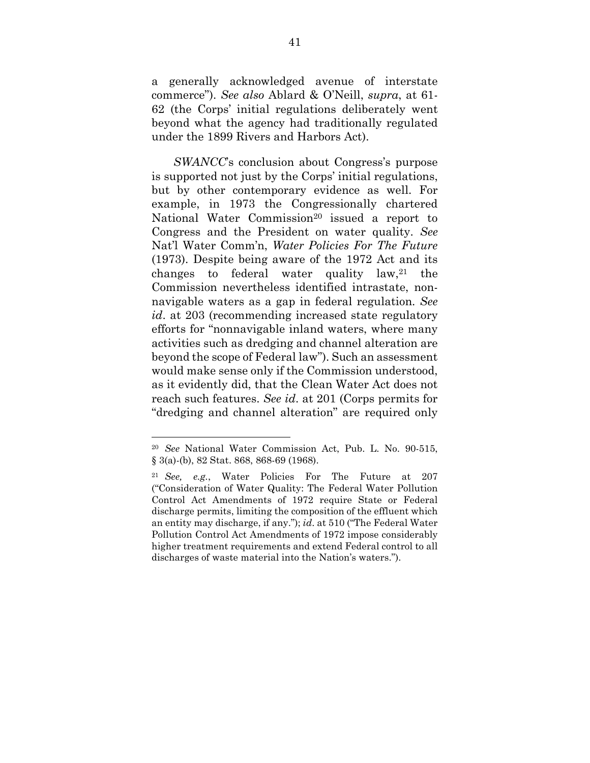a generally acknowledged avenue of interstate commerce"). *See also* Ablard & O'Neill, *supra*, at 61- 62 (the Corps' initial regulations deliberately went beyond what the agency had traditionally regulated under the 1899 Rivers and Harbors Act).

*SWANCC*'s conclusion about Congress's purpose is supported not just by the Corps' initial regulations, but by other contemporary evidence as well. For example, in 1973 the Congressionally chartered National Water Commission<sup>20</sup> issued a report to Congress and the President on water quality. *See*  Nat'l Water Comm'n, *Water Policies For The Future* (1973). Despite being aware of the 1972 Act and its changes to federal water quality  $law<sub>,21</sub>$  the Commission nevertheless identified intrastate, nonnavigable waters as a gap in federal regulation. *See id*. at 203 (recommending increased state regulatory efforts for "nonnavigable inland waters, where many activities such as dredging and channel alteration are beyond the scope of Federal law"). Such an assessment would make sense only if the Commission understood, as it evidently did, that the Clean Water Act does not reach such features. *See id*. at 201 (Corps permits for "dredging and channel alteration" are required only

<sup>20</sup> *See* National Water Commission Act, Pub. L. No. 90-515, § 3(a)-(b), 82 Stat. 868, 868-69 (1968).

<sup>21</sup> *See, e.g.*, Water Policies For The Future at 207 ("Consideration of Water Quality: The Federal Water Pollution Control Act Amendments of 1972 require State or Federal discharge permits, limiting the composition of the effluent which an entity may discharge, if any."); *id*. at 510 ("The Federal Water Pollution Control Act Amendments of 1972 impose considerably higher treatment requirements and extend Federal control to all discharges of waste material into the Nation's waters.").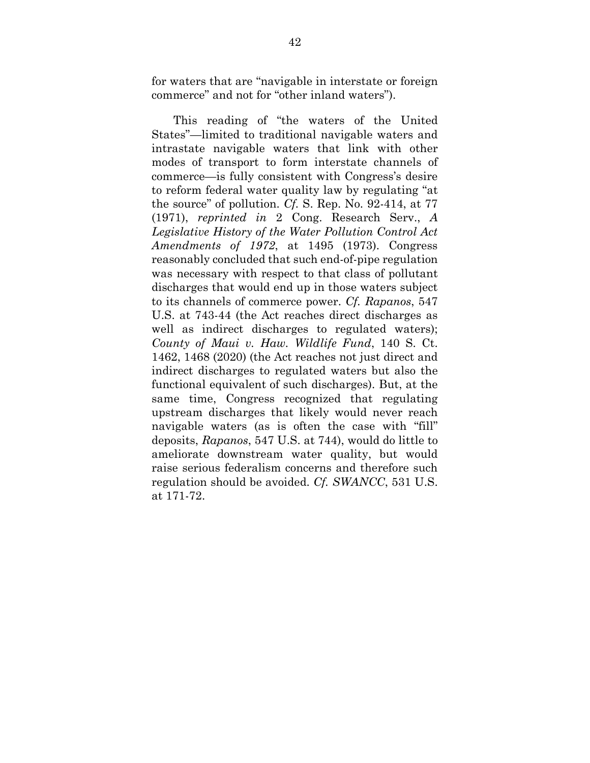for waters that are "navigable in interstate or foreign commerce" and not for "other inland waters").

 This reading of "the waters of the United States"—limited to traditional navigable waters and intrastate navigable waters that link with other modes of transport to form interstate channels of commerce—is fully consistent with Congress's desire to reform federal water quality law by regulating "at the source" of pollution. *Cf.* S. Rep. No. 92-414, at 77 (1971), *reprinted in* 2 Cong. Research Serv., *A Legislative History of the Water Pollution Control Act Amendments of 1972*, at 1495 (1973). Congress reasonably concluded that such end-of-pipe regulation was necessary with respect to that class of pollutant discharges that would end up in those waters subject to its channels of commerce power. *Cf. Rapanos*, 547 U.S. at 743-44 (the Act reaches direct discharges as well as indirect discharges to regulated waters); *County of Maui v. Haw. Wildlife Fund*, 140 S. Ct. 1462, 1468 (2020) (the Act reaches not just direct and indirect discharges to regulated waters but also the functional equivalent of such discharges). But, at the same time, Congress recognized that regulating upstream discharges that likely would never reach navigable waters (as is often the case with "fill" deposits, *Rapanos*, 547 U.S. at 744), would do little to ameliorate downstream water quality, but would raise serious federalism concerns and therefore such regulation should be avoided. *Cf. SWANCC*, 531 U.S. at 171-72.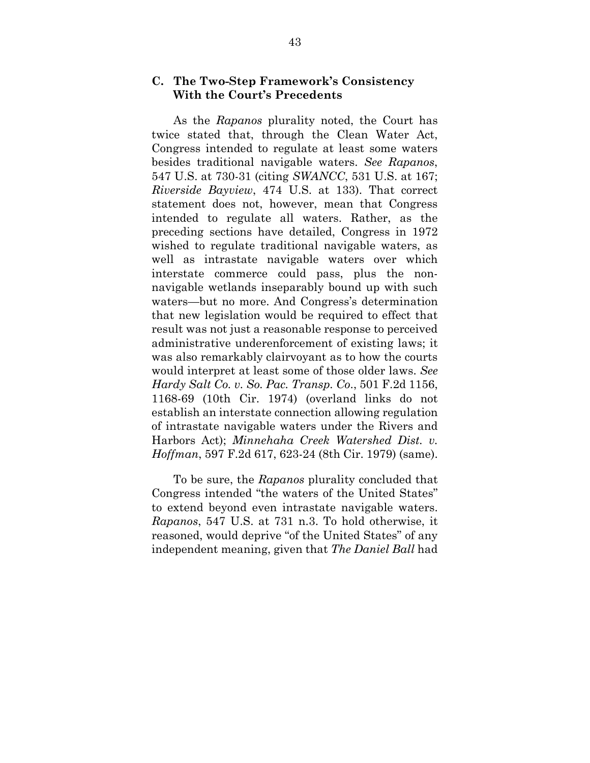### **C. The Two-Step Framework's Consistency With the Court's Precedents**

 As the *Rapanos* plurality noted, the Court has twice stated that, through the Clean Water Act, Congress intended to regulate at least some waters besides traditional navigable waters. *See Rapanos*, 547 U.S. at 730-31 (citing *SWANCC*, 531 U.S. at 167; *Riverside Bayview*, 474 U.S. at 133). That correct statement does not, however, mean that Congress intended to regulate all waters. Rather, as the preceding sections have detailed, Congress in 1972 wished to regulate traditional navigable waters, as well as intrastate navigable waters over which interstate commerce could pass, plus the nonnavigable wetlands inseparably bound up with such waters—but no more. And Congress's determination that new legislation would be required to effect that result was not just a reasonable response to perceived administrative underenforcement of existing laws; it was also remarkably clairvoyant as to how the courts would interpret at least some of those older laws. *See Hardy Salt Co. v. So. Pac. Transp. Co*., 501 F.2d 1156, 1168-69 (10th Cir. 1974) (overland links do not establish an interstate connection allowing regulation of intrastate navigable waters under the Rivers and Harbors Act); *Minnehaha Creek Watershed Dist. v. Hoffman*, 597 F.2d 617, 623-24 (8th Cir. 1979) (same).

 To be sure, the *Rapanos* plurality concluded that Congress intended "the waters of the United States" to extend beyond even intrastate navigable waters. *Rapanos*, 547 U.S. at 731 n.3. To hold otherwise, it reasoned, would deprive "of the United States" of any independent meaning, given that *The Daniel Ball* had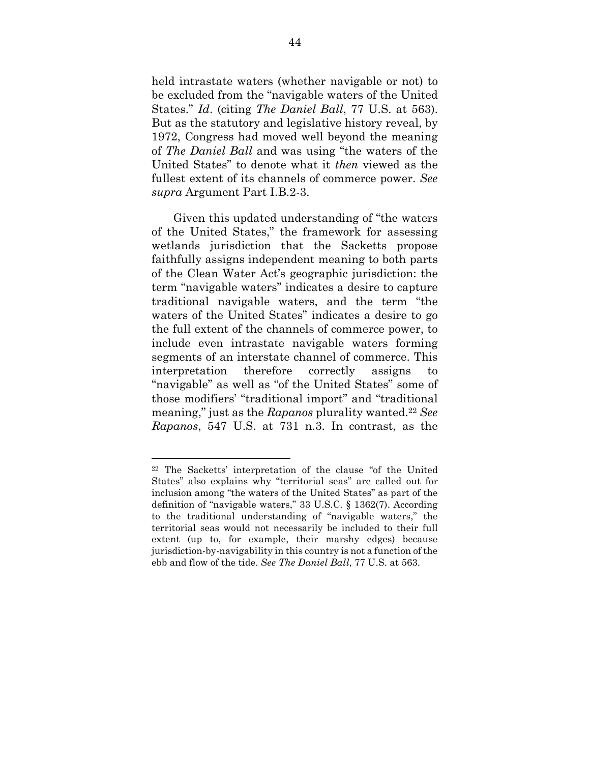held intrastate waters (whether navigable or not) to be excluded from the "navigable waters of the United States." *Id*. (citing *The Daniel Ball*, 77 U.S. at 563). But as the statutory and legislative history reveal, by 1972, Congress had moved well beyond the meaning of *The Daniel Ball* and was using "the waters of the United States" to denote what it *then* viewed as the fullest extent of its channels of commerce power. *See supra* Argument Part I.B.2-3.

Given this updated understanding of "the waters of the United States," the framework for assessing wetlands jurisdiction that the Sacketts propose faithfully assigns independent meaning to both parts of the Clean Water Act's geographic jurisdiction: the term "navigable waters" indicates a desire to capture traditional navigable waters, and the term "the waters of the United States" indicates a desire to go the full extent of the channels of commerce power, to include even intrastate navigable waters forming segments of an interstate channel of commerce. This interpretation therefore correctly assigns to "navigable" as well as "of the United States" some of those modifiers' "traditional import" and "traditional meaning," just as the *Rapanos* plurality wanted.<sup>22</sup> *See Rapanos*, 547 U.S. at 731 n.3. In contrast, as the

<sup>22</sup> The Sacketts' interpretation of the clause "of the United States" also explains why "territorial seas" are called out for inclusion among "the waters of the United States" as part of the definition of "navigable waters," 33 U.S.C. § 1362(7). According to the traditional understanding of "navigable waters," the territorial seas would not necessarily be included to their full extent (up to, for example, their marshy edges) because jurisdiction-by-navigability in this country is not a function of the ebb and flow of the tide. *See The Daniel Ball*, 77 U.S. at 563.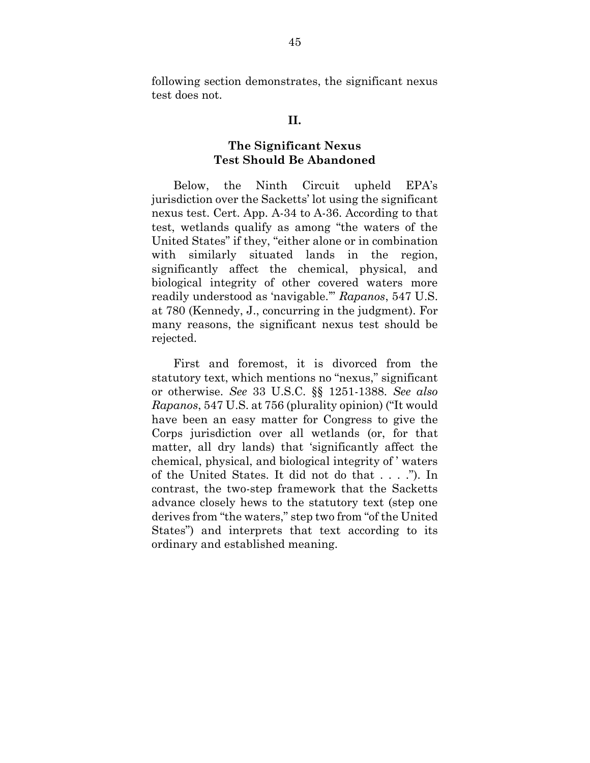following section demonstrates, the significant nexus test does not.

#### **II.**

#### **The Significant Nexus Test Should Be Abandoned**

 Below, the Ninth Circuit upheld EPA's jurisdiction over the Sacketts' lot using the significant nexus test. Cert. App. A-34 to A-36. According to that test, wetlands qualify as among "the waters of the United States" if they, "either alone or in combination with similarly situated lands in the region, significantly affect the chemical, physical, and biological integrity of other covered waters more readily understood as 'navigable.'" *Rapanos*, 547 U.S. at 780 (Kennedy, J., concurring in the judgment). For many reasons, the significant nexus test should be rejected.

 First and foremost, it is divorced from the statutory text, which mentions no "nexus," significant or otherwise. *See* 33 U.S.C. §§ 1251-1388. *See also Rapanos*, 547 U.S. at 756 (plurality opinion) ("It would have been an easy matter for Congress to give the Corps jurisdiction over all wetlands (or, for that matter, all dry lands) that 'significantly affect the chemical, physical, and biological integrity of ' waters of the United States. It did not do that . . . ."). In contrast, the two-step framework that the Sacketts advance closely hews to the statutory text (step one derives from "the waters," step two from "of the United States") and interprets that text according to its ordinary and established meaning.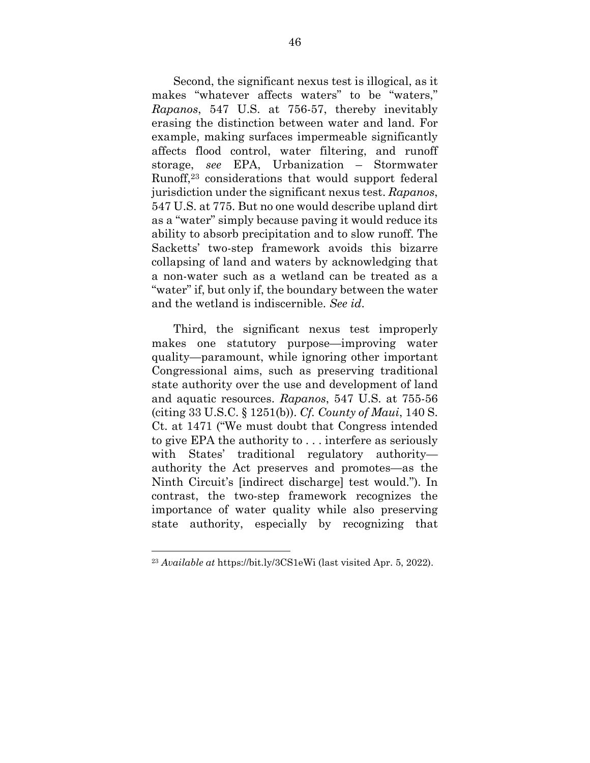Second, the significant nexus test is illogical, as it makes "whatever affects waters" to be "waters," *Rapanos*, 547 U.S. at 756-57, thereby inevitably erasing the distinction between water and land. For example, making surfaces impermeable significantly affects flood control, water filtering, and runoff storage, *see* EPA, Urbanization – Stormwater Runoff,23 considerations that would support federal jurisdiction under the significant nexus test. *Rapanos*, 547 U.S. at 775. But no one would describe upland dirt as a "water" simply because paving it would reduce its ability to absorb precipitation and to slow runoff. The Sacketts' two-step framework avoids this bizarre collapsing of land and waters by acknowledging that a non-water such as a wetland can be treated as a "water" if, but only if, the boundary between the water and the wetland is indiscernible. *See id*.

 Third, the significant nexus test improperly makes one statutory purpose—improving water quality—paramount, while ignoring other important Congressional aims, such as preserving traditional state authority over the use and development of land and aquatic resources. *Rapanos*, 547 U.S. at 755-56 (citing 33 U.S.C. § 1251(b)). *Cf. County of Maui*, 140 S. Ct. at 1471 ("We must doubt that Congress intended to give EPA the authority to . . . interfere as seriously with States' traditional regulatory authority authority the Act preserves and promotes—as the Ninth Circuit's [indirect discharge] test would."). In contrast, the two-step framework recognizes the importance of water quality while also preserving state authority, especially by recognizing that

<sup>23</sup> *Available at* https://bit.ly/3CS1eWi (last visited Apr. 5, 2022).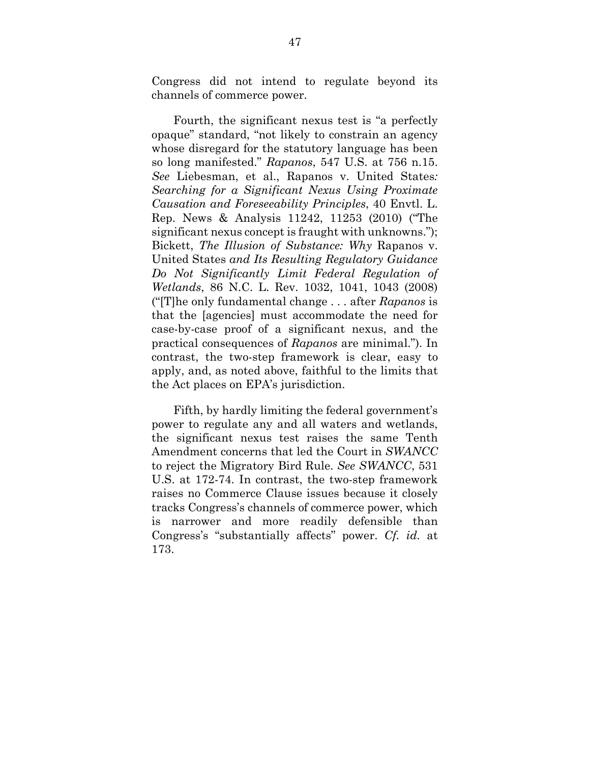Congress did not intend to regulate beyond its channels of commerce power.

 Fourth, the significant nexus test is "a perfectly opaque" standard, "not likely to constrain an agency whose disregard for the statutory language has been so long manifested." *Rapanos*, 547 U.S. at 756 n.15. *See* Liebesman, et al., Rapanos v. United States*: Searching for a Significant Nexus Using Proximate Causation and Foreseeability Principles*, 40 Envtl. L. Rep. News & Analysis 11242, 11253 (2010) ("The significant nexus concept is fraught with unknowns."); Bickett, *The Illusion of Substance: Why* Rapanos v. United States *and Its Resulting Regulatory Guidance Do Not Significantly Limit Federal Regulation of Wetlands*, 86 N.C. L. Rev. 1032, 1041, 1043 (2008) ("[T]he only fundamental change . . . after *Rapanos* is that the [agencies] must accommodate the need for case-by-case proof of a significant nexus, and the practical consequences of *Rapanos* are minimal."). In contrast, the two-step framework is clear, easy to apply, and, as noted above, faithful to the limits that the Act places on EPA's jurisdiction.

 Fifth, by hardly limiting the federal government's power to regulate any and all waters and wetlands, the significant nexus test raises the same Tenth Amendment concerns that led the Court in *SWANCC* to reject the Migratory Bird Rule. *See SWANCC*, 531 U.S. at 172-74. In contrast, the two-step framework raises no Commerce Clause issues because it closely tracks Congress's channels of commerce power, which is narrower and more readily defensible than Congress's "substantially affects" power. *Cf. id.* at 173.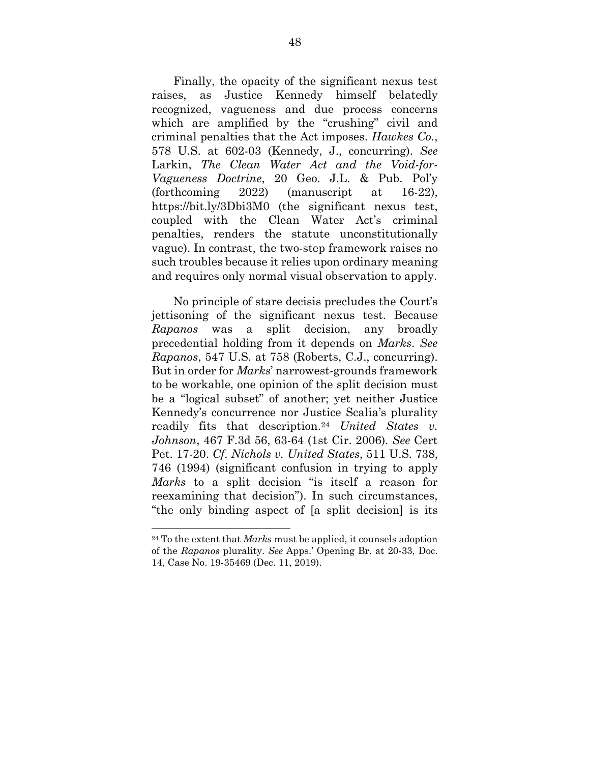Finally, the opacity of the significant nexus test raises, as Justice Kennedy himself belatedly recognized, vagueness and due process concerns which are amplified by the "crushing" civil and criminal penalties that the Act imposes. *Hawkes Co.*, 578 U.S. at 602-03 (Kennedy, J., concurring). *See*  Larkin, *The Clean Water Act and the Void-for-Vagueness Doctrine*, 20 Geo. J.L. & Pub. Pol'y (forthcoming 2022) (manuscript at 16-22), https://bit.ly/3Dbi3M0 (the significant nexus test, coupled with the Clean Water Act's criminal penalties, renders the statute unconstitutionally vague). In contrast, the two-step framework raises no such troubles because it relies upon ordinary meaning and requires only normal visual observation to apply.

 No principle of stare decisis precludes the Court's jettisoning of the significant nexus test. Because *Rapanos* was a split decision, any broadly precedential holding from it depends on *Marks*. *See Rapanos*, 547 U.S. at 758 (Roberts, C.J., concurring). But in order for *Marks*' narrowest-grounds framework to be workable, one opinion of the split decision must be a "logical subset" of another; yet neither Justice Kennedy's concurrence nor Justice Scalia's plurality readily fits that description.<sup>24</sup> *United States v. Johnson*, 467 F.3d 56, 63-64 (1st Cir. 2006). *See* Cert Pet. 17-20. *Cf*. *Nichols v. United States*, 511 U.S. 738, 746 (1994) (significant confusion in trying to apply *Marks* to a split decision "is itself a reason for reexamining that decision"). In such circumstances, "the only binding aspect of [a split decision] is its

<sup>24</sup> To the extent that *Marks* must be applied, it counsels adoption of the *Rapanos* plurality. *See* Apps.' Opening Br. at 20-33, Doc. 14, Case No. 19-35469 (Dec. 11, 2019).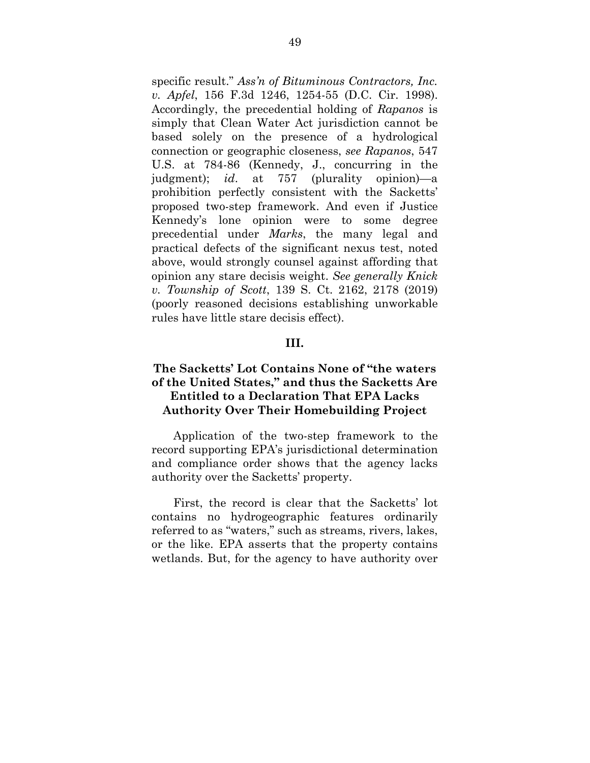specific result." *Ass'n of Bituminous Contractors, Inc. v. Apfel*, 156 F.3d 1246, 1254-55 (D.C. Cir. 1998). Accordingly, the precedential holding of *Rapanos* is simply that Clean Water Act jurisdiction cannot be based solely on the presence of a hydrological connection or geographic closeness, *see Rapanos*, 547 U.S. at 784-86 (Kennedy, J., concurring in the judgment); *id*. at 757 (plurality opinion)—a prohibition perfectly consistent with the Sacketts' proposed two-step framework. And even if Justice Kennedy's lone opinion were to some degree precedential under *Marks*, the many legal and practical defects of the significant nexus test, noted above, would strongly counsel against affording that opinion any stare decisis weight. *See generally Knick v. Township of Scott*, 139 S. Ct. 2162, 2178 (2019) (poorly reasoned decisions establishing unworkable rules have little stare decisis effect).

#### **III.**

## **The Sacketts' Lot Contains None of "the waters of the United States," and thus the Sacketts Are Entitled to a Declaration That EPA Lacks Authority Over Their Homebuilding Project**

 Application of the two-step framework to the record supporting EPA's jurisdictional determination and compliance order shows that the agency lacks authority over the Sacketts' property.

 First, the record is clear that the Sacketts' lot contains no hydrogeographic features ordinarily referred to as "waters," such as streams, rivers, lakes, or the like. EPA asserts that the property contains wetlands. But, for the agency to have authority over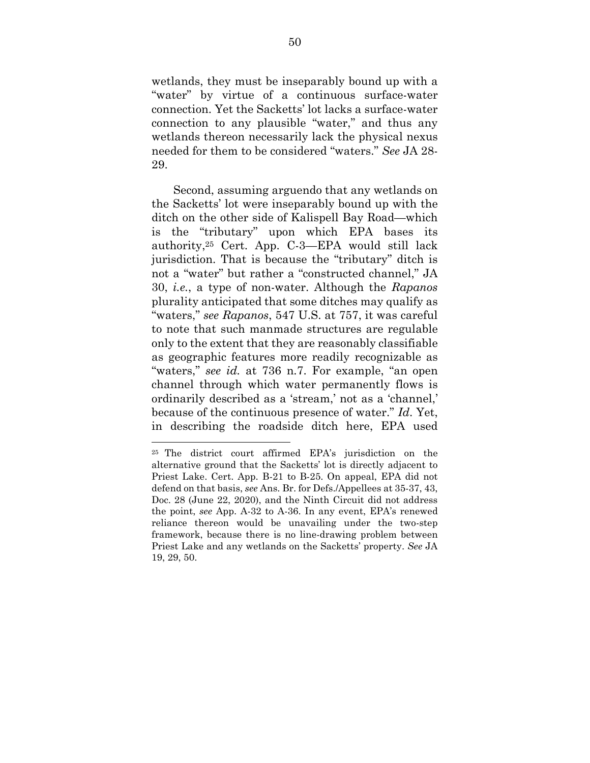wetlands, they must be inseparably bound up with a "water" by virtue of a continuous surface-water connection. Yet the Sacketts' lot lacks a surface-water connection to any plausible "water," and thus any wetlands thereon necessarily lack the physical nexus needed for them to be considered "waters." *See* JA 28- 29.

 Second, assuming arguendo that any wetlands on the Sacketts' lot were inseparably bound up with the ditch on the other side of Kalispell Bay Road—which is the "tributary" upon which EPA bases its authority,25 Cert. App. C-3—EPA would still lack jurisdiction. That is because the "tributary" ditch is not a "water" but rather a "constructed channel," JA 30, *i.e.*, a type of non-water. Although the *Rapanos*  plurality anticipated that some ditches may qualify as "waters," *see Rapanos*, 547 U.S. at 757, it was careful to note that such manmade structures are regulable only to the extent that they are reasonably classifiable as geographic features more readily recognizable as "waters," *see id.* at 736 n.7. For example, "an open channel through which water permanently flows is ordinarily described as a 'stream,' not as a 'channel,' because of the continuous presence of water." *Id*. Yet, in describing the roadside ditch here, EPA used

<sup>25</sup> The district court affirmed EPA's jurisdiction on the alternative ground that the Sacketts' lot is directly adjacent to Priest Lake. Cert. App. B-21 to B-25. On appeal, EPA did not defend on that basis, *see* Ans. Br. for Defs./Appellees at 35-37, 43, Doc. 28 (June 22, 2020), and the Ninth Circuit did not address the point, *see* App. A-32 to A-36. In any event, EPA's renewed reliance thereon would be unavailing under the two-step framework, because there is no line-drawing problem between Priest Lake and any wetlands on the Sacketts' property. *See* JA 19, 29, 50.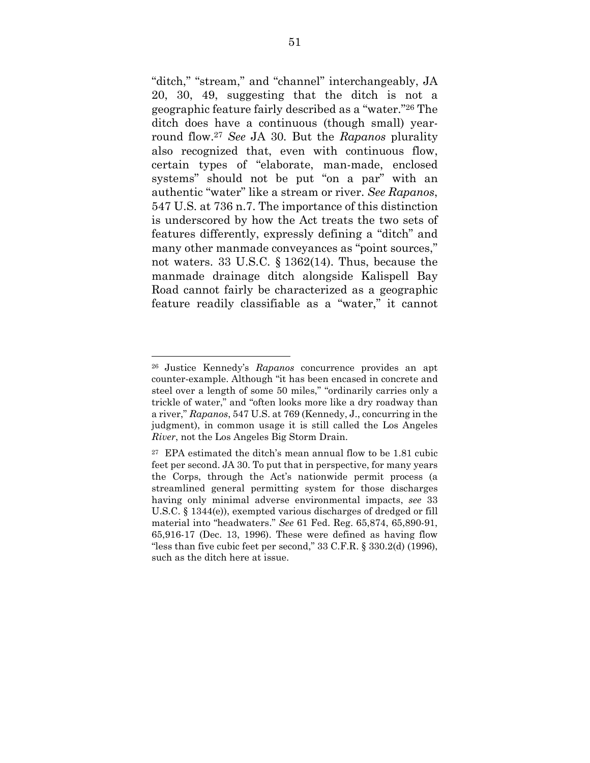"ditch," "stream," and "channel" interchangeably, JA 20, 30, 49, suggesting that the ditch is not a geographic feature fairly described as a "water."26 The ditch does have a continuous (though small) yearround flow.<sup>27</sup> *See* JA 30*.* But the *Rapanos* plurality also recognized that, even with continuous flow, certain types of "elaborate, man-made, enclosed systems" should not be put "on a par" with an authentic "water" like a stream or river. *See Rapanos*, 547 U.S. at 736 n.7. The importance of this distinction is underscored by how the Act treats the two sets of features differently, expressly defining a "ditch" and many other manmade conveyances as "point sources," not waters. 33 U.S.C. § 1362(14). Thus, because the manmade drainage ditch alongside Kalispell Bay Road cannot fairly be characterized as a geographic feature readily classifiable as a "water," it cannot

<sup>26</sup> Justice Kennedy's *Rapanos* concurrence provides an apt counter-example. Although "it has been encased in concrete and steel over a length of some 50 miles," "ordinarily carries only a trickle of water," and "often looks more like a dry roadway than a river," *Rapanos*, 547 U.S. at 769 (Kennedy, J., concurring in the judgment), in common usage it is still called the Los Angeles *River*, not the Los Angeles Big Storm Drain.

<sup>27</sup> EPA estimated the ditch's mean annual flow to be 1.81 cubic feet per second. JA 30. To put that in perspective, for many years the Corps, through the Act's nationwide permit process (a streamlined general permitting system for those discharges having only minimal adverse environmental impacts, *see* 33 U.S.C. § 1344(e)), exempted various discharges of dredged or fill material into "headwaters." *See* 61 Fed. Reg. 65,874, 65,890-91, 65,916-17 (Dec. 13, 1996). These were defined as having flow "less than five cubic feet per second," 33 C.F.R. § 330.2(d) (1996), such as the ditch here at issue.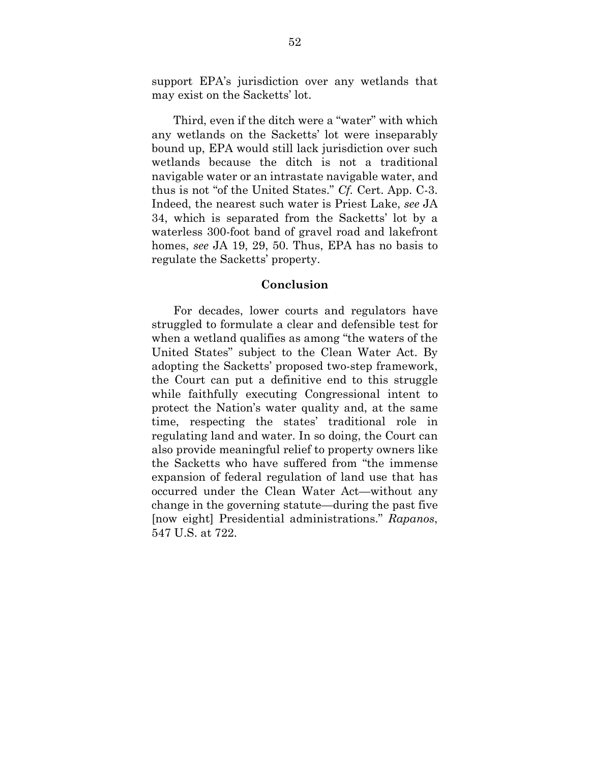support EPA's jurisdiction over any wetlands that may exist on the Sacketts' lot.

 Third, even if the ditch were a "water" with which any wetlands on the Sacketts' lot were inseparably bound up, EPA would still lack jurisdiction over such wetlands because the ditch is not a traditional navigable water or an intrastate navigable water, and thus is not "of the United States." *Cf.* Cert. App. C-3. Indeed, the nearest such water is Priest Lake, *see* JA 34, which is separated from the Sacketts' lot by a waterless 300-foot band of gravel road and lakefront homes, *see* JA 19, 29, 50. Thus, EPA has no basis to regulate the Sacketts' property.

#### **Conclusion**

 For decades, lower courts and regulators have struggled to formulate a clear and defensible test for when a wetland qualifies as among "the waters of the United States" subject to the Clean Water Act. By adopting the Sacketts' proposed two-step framework, the Court can put a definitive end to this struggle while faithfully executing Congressional intent to protect the Nation's water quality and, at the same time, respecting the states' traditional role in regulating land and water. In so doing, the Court can also provide meaningful relief to property owners like the Sacketts who have suffered from "the immense expansion of federal regulation of land use that has occurred under the Clean Water Act—without any change in the governing statute—during the past five [now eight] Presidential administrations." *Rapanos*, 547 U.S. at 722.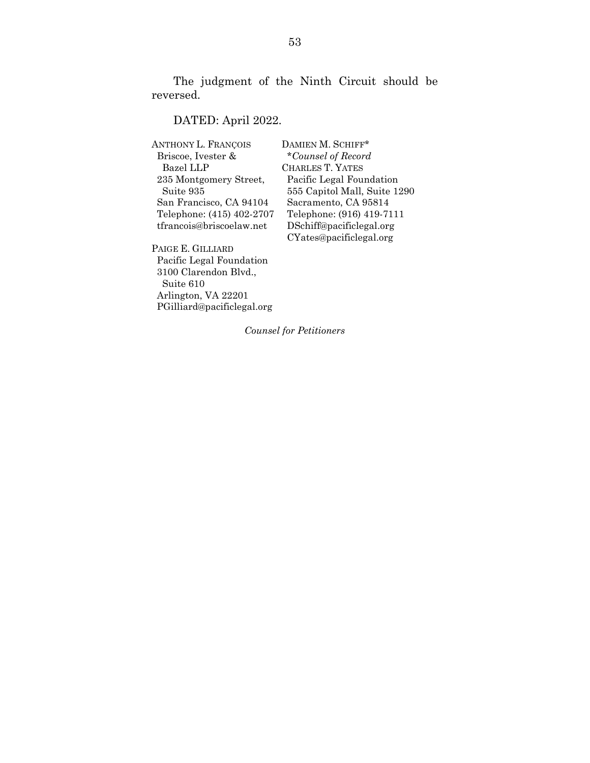The judgment of the Ninth Circuit should be reversed.

## DATED: April 2022.

| ANTHONY L. FRANÇOIS       |
|---------------------------|
| Briscoe, Ivester &        |
| <b>Bazel LLP</b>          |
| 235 Montgomery Street,    |
| Suite 935                 |
| San Francisco, CA 94104   |
| Telephone: (415) 402-2707 |
| tfrancois@briscoelaw.net  |
|                           |

PAIGE E. GILLIARD Pacific Legal Foundation 3100 Clarendon Blvd., Suite 610 Arlington, VA 22201 PGilliard@pacificlegal.org DAMIEN M. SCHIFF\* Briscoe, Ivester & \**Counsel of Record*  CHARLES T. YATES Pacific Legal Foundation 555 Capitol Mall, Suite 1290 Sacramento, CA 95814 Telephone: (916) 419-7111 DSchiff@pacificlegal.org CYates@pacificlegal.org

*Counsel for Petitioners*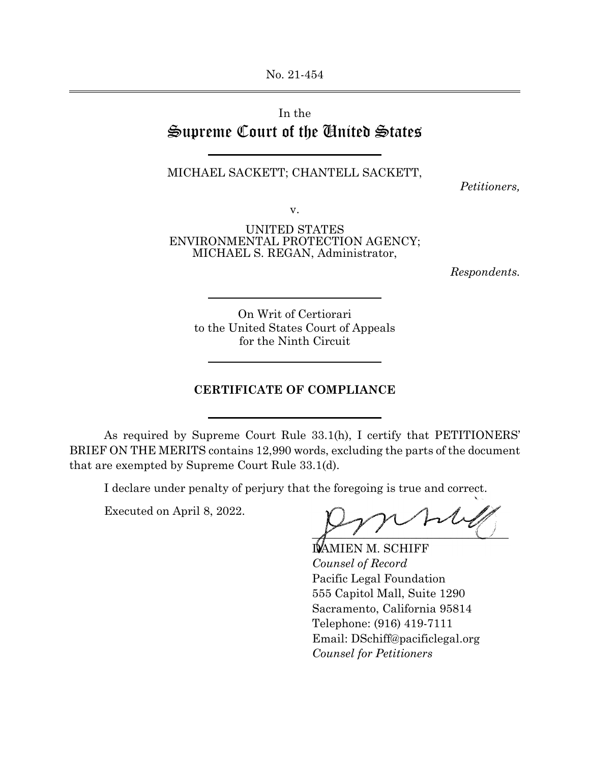No. 21-454

# In the Supreme Court of the United States

 $\overline{a}$ 

 $\overline{a}$ 

l

 $\overline{a}$ 

## MICHAEL SACKETT; CHANTELL SACKETT,

*Petitioners,*

v.

UNITED STATES ENVIRONMENTAL PROTECTION AGENCY; MICHAEL S. REGAN, Administrator,

*Respondents.*

On Writ of Certiorari to the United States Court of Appeals for the Ninth Circuit

#### **CERTIFICATE OF COMPLIANCE**

As required by Supreme Court Rule 33.1(h), I certify that PETITIONERS' BRIEF ON THE MERITS contains 12,990 words, excluding the parts of the document that are exempted by Supreme Court Rule 33.1(d).

I declare under penalty of perjury that the foregoing is true and correct.

Executed on April 8, 2022.

 $\overline{a}$ 

 $\overline{X}$   $\overline{Y}$   $\overline{Y}$   $\overline{Y}$   $\overline{Y}$ 

 DAMIEN M. SCHIFF *Counsel of Record* Pacific Legal Foundation 555 Capitol Mall, Suite 1290 Sacramento, California 95814 Telephone: (916) 419-7111 Email: DSchiff@pacificlegal.org  *Counsel for Petitioners*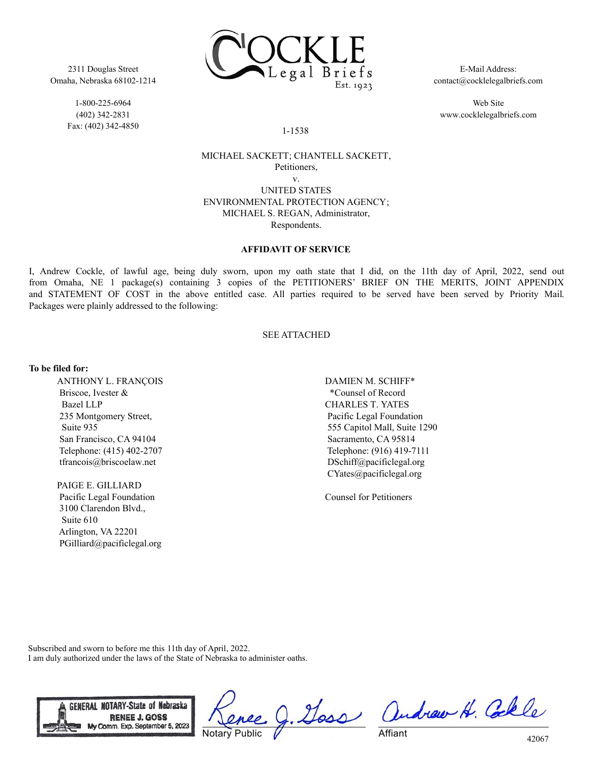

2311 Douglas Street Omaha, Nebraska 68102-1214

> 1-800-225-6964 (402) 342-2831 Fax: (402) 342-4850

E-Mail Address: contact@cocklelegalbriefs.com

Web Site www.cocklelegalbriefs.com

#### 1-1538

## MICHAEL SACKETT; CHANTELL SACKETT, Petitioners, v.

UNITED STATES ENVIRONMENTAL PROTECTION AGENCY; MICHAEL S. REGAN, Administrator, Respondents.

#### **AFFIDAVIT OF SERVICE**

I, Andrew Cockle, of lawful age, being duly sworn, upon my oath state that I did, on the 11th day of April, 2022, send out from Omaha, NE 1 package(s) containing 3 copies of the PETITIONERS' BRIEF ON THE MERITS, JOINT APPENDIX and STATEMENT OF COST in the above entitled case. All parties required to be served have been served by Priority Mail. Packages were plainly addressed to the following:

#### SEE ATTACHED

#### **To be filed for:**

ANTHONY L. FRANÇOIS Briscoe, Ivester & Bazel LLP 235 Montgomery Street, Suite 935 San Francisco, CA 94104 Telephone: (415) 402-2707 tfrancois@briscoelaw.net

PAIGE E. GILLIARD Pacific Legal Foundation 3100 Clarendon Blvd., Suite 610 Arlington, VA 22201 PGilliard@pacificlegal.org DAMIEN M. SCHIFF\* \*Counsel of Record CHARLES T. YATES Pacific Legal Foundation 555 Capitol Mall, Suite 1290 Sacramento, CA 95814 Telephone: (916) 419-7111 DSchiff@pacificlegal.org CYates@pacificlegal.org

Counsel for Petitioners

Subscribed and sworn to before me this 11th day of April, 2022. I am duly authorized under the laws of the State of Nebraska to administer oaths.



**Notary Public** 

g. Goss andrew H. Colle